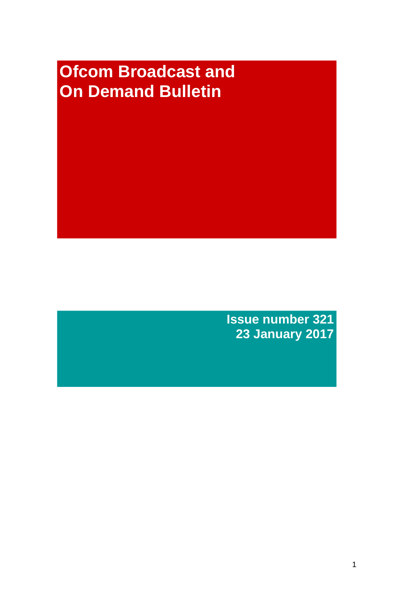# **Ofcom Broadcast and On Demand Bulletin**

**Issue number 321 23 January 2017**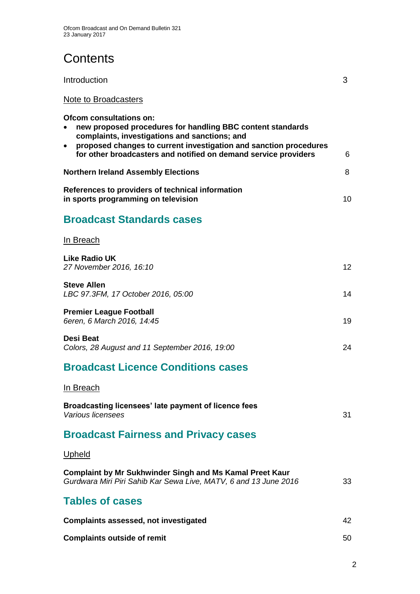## **Contents**

| Introduction         | ⌒ |
|----------------------|---|
| Note to Broadcasters |   |

**Ofcom consultations on:**

| Olcom consultations on:<br>new proposed procedures for handling BBC content standards<br>$\bullet$<br>complaints, investigations and sanctions; and<br>proposed changes to current investigation and sanction procedures<br>$\bullet$ |    |
|---------------------------------------------------------------------------------------------------------------------------------------------------------------------------------------------------------------------------------------|----|
| for other broadcasters and notified on demand service providers                                                                                                                                                                       | 6  |
| <b>Northern Ireland Assembly Elections</b>                                                                                                                                                                                            | 8  |
| References to providers of technical information<br>in sports programming on television                                                                                                                                               | 10 |
| <b>Broadcast Standards cases</b>                                                                                                                                                                                                      |    |
| In Breach                                                                                                                                                                                                                             |    |
| Like Radio UK<br>27 November 2016, 16:10                                                                                                                                                                                              | 12 |
| <b>Steve Allen</b><br>LBC 97.3FM, 17 October 2016, 05:00                                                                                                                                                                              | 14 |
| <b>Premier League Football</b><br>6eren, 6 March 2016, 14:45                                                                                                                                                                          | 19 |
| Desi Beat<br>Colors, 28 August and 11 September 2016, 19:00                                                                                                                                                                           | 24 |
| <b>Broadcast Licence Conditions cases</b>                                                                                                                                                                                             |    |
| In Breach                                                                                                                                                                                                                             |    |
| Broadcasting licensees' late payment of licence fees<br>Various licensees                                                                                                                                                             | 31 |

## **Broadcast Fairness and Privacy cases**

### **Upheld**

| <b>Complaint by Mr Sukhwinder Singh and Ms Kamal Preet Kaur</b><br>Gurdwara Miri Piri Sahib Kar Sewa Live, MATV, 6 and 13 June 2016 | 33 |
|-------------------------------------------------------------------------------------------------------------------------------------|----|
| <b>Tables of cases</b>                                                                                                              |    |
| <b>Complaints assessed, not investigated</b>                                                                                        | 42 |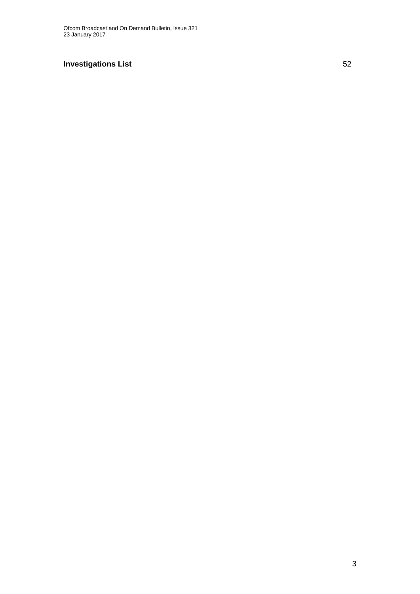### **Investigations List** 52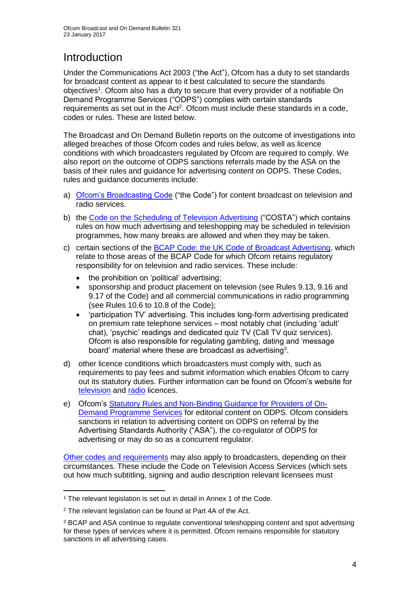## **Introduction**

Under the Communications Act 2003 ("the Act"), Ofcom has a duty to set standards for broadcast content as appear to it best calculated to secure the standards objectives<sup>1</sup>. Ofcom also has a duty to secure that every provider of a notifiable On Demand Programme Services ("ODPS") complies with certain standards requirements as set out in the Act<sup>2</sup>. Ofcom must include these standards in a code, codes or rules. These are listed below.

The Broadcast and On Demand Bulletin reports on the outcome of investigations into alleged breaches of those Ofcom codes and rules below, as well as licence conditions with which broadcasters regulated by Ofcom are required to comply. We also report on the outcome of ODPS sanctions referrals made by the ASA on the basis of their rules and guidance for advertising content on ODPS. These Codes, rules and guidance documents include:

- a) [Ofcom's Broadcasting Code](http://stakeholders.ofcom.org.uk/broadcasting/broadcast-codes/broadcast-code/) ("the Code") for content broadcast on television and radio services.
- b) the [Code on the Scheduling of Television Advertising](https://www.ofcom.org.uk/__data/assets/pdf_file/0014/32162/costa-april-2016.pdf) ("COSTA") which contains rules on how much advertising and teleshopping may be scheduled in television programmes, how many breaks are allowed and when they may be taken.
- c) certain sections of the [BCAP Code: the UK Code of Broadcast Advertising,](https://www.cap.org.uk/Advertising-Codes/Broadcast.aspx) which relate to those areas of the BCAP Code for which Ofcom retains regulatory responsibility for on television and radio services. These include:
	- the prohibition on 'political' advertising;
	- sponsorship and product placement on television (see Rules 9.13, 9.16 and 9.17 of the Code) and all commercial communications in radio programming (see Rules 10.6 to 10.8 of the Code);
	- 'participation TV' advertising. This includes long-form advertising predicated on premium rate telephone services – most notably chat (including 'adult' chat), 'psychic' readings and dedicated quiz TV (Call TV quiz services). Ofcom is also responsible for regulating gambling, dating and 'message board' material where these are broadcast as advertising<sup>3</sup>.
- d) other licence conditions which broadcasters must comply with, such as requirements to pay fees and submit information which enables Ofcom to carry out its statutory duties. Further information can be found on Ofcom's website for [television](http://licensing.ofcom.org.uk/tv-broadcast-licences/) and [radio](http://licensing.ofcom.org.uk/radio-broadcast-licensing/) licences.
- e) Ofcom's [Statutory Rules and Non-Binding Guidance for Providers of On-](http://stakeholders.ofcom.org.uk/binaries/broadcast/on-demand/rules-guidance/rules_and_guidance.pdf)[Demand Programme Services](http://stakeholders.ofcom.org.uk/binaries/broadcast/on-demand/rules-guidance/rules_and_guidance.pdf) for editorial content on ODPS. Ofcom considers sanctions in relation to advertising content on ODPS on referral by the Advertising Standards Authority ("ASA"), the co-regulator of ODPS for advertising or may do so as a concurrent regulator.

[Other codes and requirements](http://stakeholders.ofcom.org.uk/broadcasting/broadcast-codes/) may also apply to broadcasters, depending on their circumstances. These include the Code on Television Access Services (which sets out how much subtitling, signing and audio description relevant licensees must

<sup>1</sup> <sup>1</sup> The relevant legislation is set out in detail in Annex 1 of the Code.

<sup>&</sup>lt;sup>2</sup> The relevant legislation can be found at Part 4A of the Act.

<sup>3</sup> BCAP and ASA continue to regulate conventional teleshopping content and spot advertising for these types of services where it is permitted. Ofcom remains responsible for statutory sanctions in all advertising cases.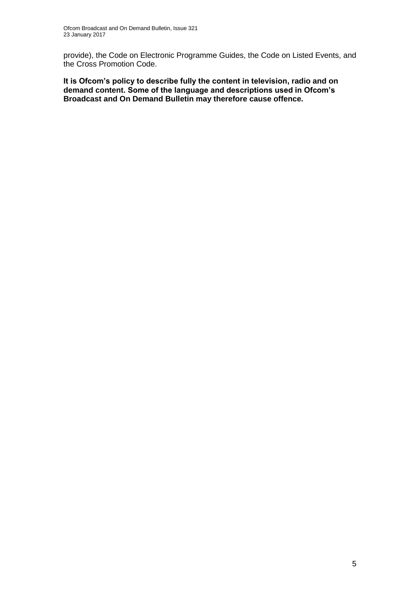provide), the Code on Electronic Programme Guides, the Code on Listed Events, and the Cross Promotion Code.

**It is Ofcom's policy to describe fully the content in television, radio and on demand content. Some of the language and descriptions used in Ofcom's Broadcast and On Demand Bulletin may therefore cause offence.**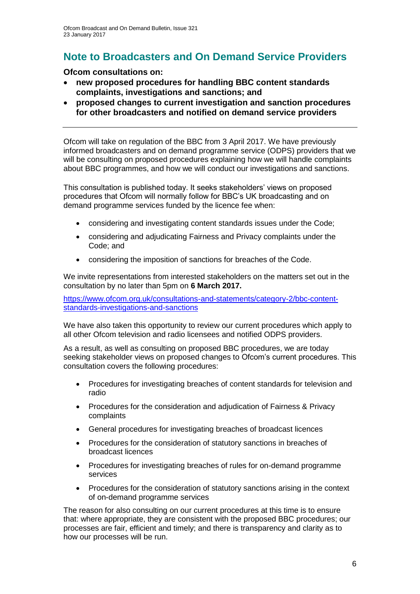## **Note to Broadcasters and On Demand Service Providers**

#### **Ofcom consultations on:**

- **new proposed procedures for handling BBC content standards complaints, investigations and sanctions; and**
- **proposed changes to current investigation and sanction procedures for other broadcasters and notified on demand service providers**

Ofcom will take on regulation of the BBC from 3 April 2017. We have previously informed broadcasters and on demand programme service (ODPS) providers that we will be consulting on proposed procedures explaining how we will handle complaints about BBC programmes, and how we will conduct our investigations and sanctions.

This consultation is published today. It seeks stakeholders' views on proposed procedures that Ofcom will normally follow for BBC's UK broadcasting and on demand programme services funded by the licence fee when:

- considering and investigating content standards issues under the Code;
- considering and adjudicating Fairness and Privacy complaints under the Code; and
- considering the imposition of sanctions for breaches of the Code.

We invite representations from interested stakeholders on the matters set out in the consultation by no later than 5pm on **6 March 2017.**

[https://www.ofcom.org.uk/consultations-and-statements/category-2/bbc-content](https://www.ofcom.org.uk/consultations-and-statements/category-2/bbc-content-standards-investigations-and-sanctions)[standards-investigations-and-sanctions](https://www.ofcom.org.uk/consultations-and-statements/category-2/bbc-content-standards-investigations-and-sanctions)

We have also taken this opportunity to review our current procedures which apply to all other Ofcom television and radio licensees and notified ODPS providers.

As a result, as well as consulting on proposed BBC procedures, we are today seeking stakeholder views on proposed changes to Ofcom's current procedures. This consultation covers the following procedures:

- Procedures for investigating breaches of content standards for television and radio
- Procedures for the consideration and adjudication of Fairness & Privacy complaints
- General procedures for investigating breaches of broadcast licences
- Procedures for the consideration of statutory sanctions in breaches of broadcast licences
- Procedures for investigating breaches of rules for on-demand programme services
- Procedures for the consideration of statutory sanctions arising in the context of on-demand programme services

The reason for also consulting on our current procedures at this time is to ensure that: where appropriate, they are consistent with the proposed BBC procedures; our processes are fair, efficient and timely; and there is transparency and clarity as to how our processes will be run.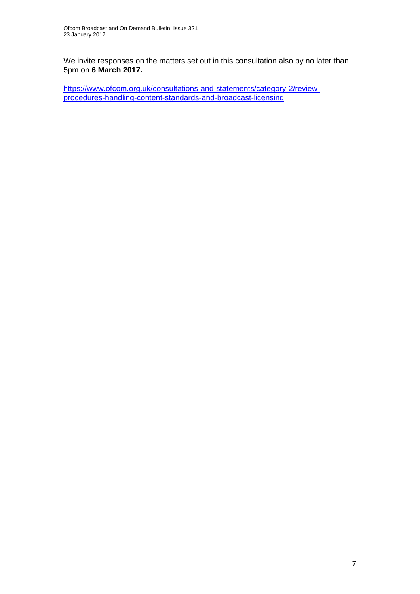We invite responses on the matters set out in this consultation also by no later than 5pm on **6 March 2017.**

[https://www.ofcom.org.uk/consultations-and-statements/category-2/review](https://www.ofcom.org.uk/consultations-and-statements/category-2/review-procedures-handling-content-standards-and-broadcast-licensing)[procedures-handling-content-standards-and-broadcast-licensing](https://www.ofcom.org.uk/consultations-and-statements/category-2/review-procedures-handling-content-standards-and-broadcast-licensing)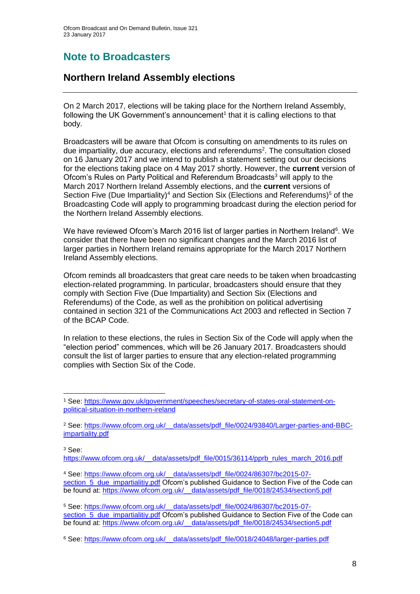### **Note to Broadcasters**

### **Northern Ireland Assembly elections**

On 2 March 2017, elections will be taking place for the Northern Ireland Assembly, following the UK Government's announcement $1$  that it is calling elections to that body.

Broadcasters will be aware that Ofcom is consulting on amendments to its rules on due impartiality, due accuracy, elections and referendums<sup>2</sup>. The consultation closed on 16 January 2017 and we intend to publish a statement setting out our decisions for the elections taking place on 4 May 2017 shortly. However, the **current** version of Ofcom's Rules on Party Political and Referendum Broadcasts<sup>3</sup> will apply to the March 2017 Northern Ireland Assembly elections, and the **current** versions of Section Five (Due Impartiality)<sup>4</sup> and Section Six (Elections and Referendums)<sup>5</sup> of the Broadcasting Code will apply to programming broadcast during the election period for the Northern Ireland Assembly elections.

We have reviewed Ofcom's March 2016 list of larger parties in Northern Ireland<sup>6</sup>. We consider that there have been no significant changes and the March 2016 list of larger parties in Northern Ireland remains appropriate for the March 2017 Northern Ireland Assembly elections.

Ofcom reminds all broadcasters that great care needs to be taken when broadcasting election-related programming. In particular, broadcasters should ensure that they comply with Section Five (Due Impartiality) and Section Six (Elections and Referendums) of the Code, as well as the prohibition on political advertising contained in section 321 of the Communications Act 2003 and reflected in Section 7 of the BCAP Code.

In relation to these elections, the rules in Section Six of the Code will apply when the "election period" commences, which will be 26 January 2017. Broadcasters should consult the list of larger parties to ensure that any election-related programming complies with Section Six of the Code.

<sup>3</sup> See:

1

[https://www.ofcom.org.uk/\\_\\_data/assets/pdf\\_file/0015/36114/pprb\\_rules\\_march\\_2016.pdf](https://www.ofcom.org.uk/__data/assets/pdf_file/0015/36114/pprb_rules_march_2016.pdf)

<sup>4</sup> See: [https://www.ofcom.org.uk/\\_\\_data/assets/pdf\\_file/0024/86307/bc2015-07](https://www.ofcom.org.uk/__data/assets/pdf_file/0024/86307/bc2015-07-section_5_due_impartialitiy.pdf) section 5 due impartialitiy.pdf Ofcom's published Guidance to Section Five of the Code can be found at: https://www.ofcom.org.uk/ data/assets/pdf file/0018/24534/section5.pdf

<sup>5</sup> See: [https://www.ofcom.org.uk/\\_\\_data/assets/pdf\\_file/0024/86307/bc2015-07](https://www.ofcom.org.uk/__data/assets/pdf_file/0024/86307/bc2015-07-section_5_due_impartialitiy.pdf) section  $\overline{5}$  due impartialitiy.pdf Ofcom's published Guidance to Section Five of the Code can be found at: https://www.ofcom.org.uk/ \_data/assets/pdf\_file/0018/24534/section5.pdf

<sup>1</sup> See: [https://www.gov.uk/government/speeches/secretary-of-states-oral-statement-on](https://www.gov.uk/government/speeches/secretary-of-states-oral-statement-on-political-situation-in-northern-ireland)[political-situation-in-northern-ireland](https://www.gov.uk/government/speeches/secretary-of-states-oral-statement-on-political-situation-in-northern-ireland)

<sup>&</sup>lt;sup>2</sup> See: https://www.ofcom.org.uk/ data/assets/pdf\_file/0024/93840/Larger-parties-and-BBC[impartiality.pdf](https://www.ofcom.org.uk/__data/assets/pdf_file/0024/93840/Larger-parties-and-BBC-impartiality.pdf) 

<sup>6</sup> See: [https://www.ofcom.org.uk/\\_\\_data/assets/pdf\\_file/0018/24048/larger-parties.pdf](https://www.ofcom.org.uk/__data/assets/pdf_file/0018/24048/larger-parties.pdf)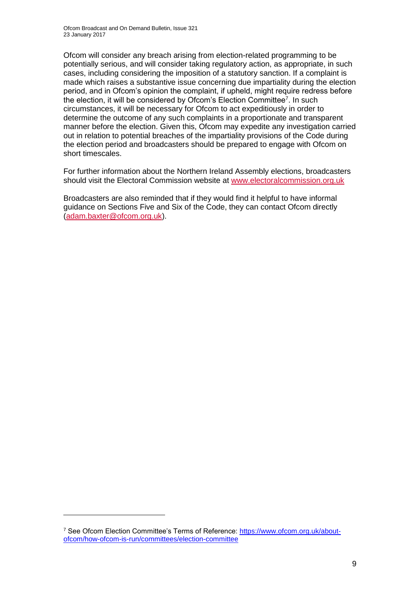Ofcom will consider any breach arising from election-related programming to be potentially serious, and will consider taking regulatory action, as appropriate, in such cases, including considering the imposition of a statutory sanction. If a complaint is made which raises a substantive issue concerning due impartiality during the election period, and in Ofcom's opinion the complaint, if upheld, might require redress before the election, it will be considered by Ofcom's Election Committee<sup>7</sup>. In such circumstances, it will be necessary for Ofcom to act expeditiously in order to determine the outcome of any such complaints in a proportionate and transparent manner before the election. Given this, Ofcom may expedite any investigation carried out in relation to potential breaches of the impartiality provisions of the Code during the election period and broadcasters should be prepared to engage with Ofcom on short timescales.

For further information about the Northern Ireland Assembly elections, broadcasters should visit the Electoral Commission website at [www.electoralcommission.org.uk](http://www.electoralcommission.org.uk/)

Broadcasters are also reminded that if they would find it helpful to have informal guidance on Sections Five and Six of the Code, they can contact Ofcom directly [\(adam.baxter@ofcom.org.uk\)](mailto:adam.baxter@ofcom.org.uk).

1

<sup>7</sup> See Ofcom Election Committee's Terms of Reference: [https://www.ofcom.org.uk/about](https://www.ofcom.org.uk/about-ofcom/how-ofcom-is-run/committees/election-committee)[ofcom/how-ofcom-is-run/committees/election-committee](https://www.ofcom.org.uk/about-ofcom/how-ofcom-is-run/committees/election-committee)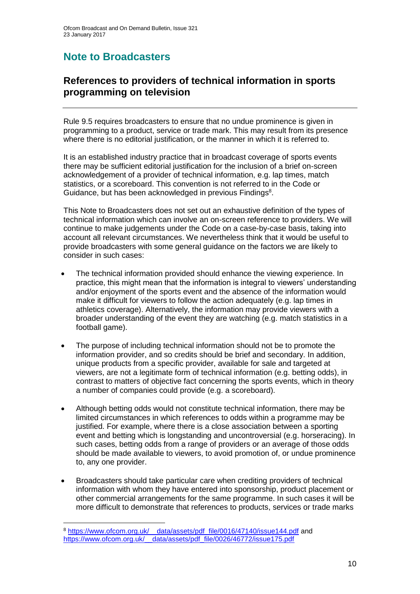## **Note to Broadcasters**

### **References to providers of technical information in sports programming on television**

Rule 9.5 requires broadcasters to ensure that no undue prominence is given in programming to a product, service or trade mark. This may result from its presence where there is no editorial justification, or the manner in which it is referred to.

It is an established industry practice that in broadcast coverage of sports events there may be sufficient editorial justification for the inclusion of a brief on-screen acknowledgement of a provider of technical information, e.g. lap times, match statistics, or a scoreboard. This convention is not referred to in the Code or Guidance, but has been acknowledged in previous Findings<sup>8</sup>.

This Note to Broadcasters does not set out an exhaustive definition of the types of technical information which can involve an on-screen reference to providers. We will continue to make judgements under the Code on a case-by-case basis, taking into account all relevant circumstances. We nevertheless think that it would be useful to provide broadcasters with some general guidance on the factors we are likely to consider in such cases:

- The technical information provided should enhance the viewing experience. In practice, this might mean that the information is integral to viewers' understanding and/or enjoyment of the sports event and the absence of the information would make it difficult for viewers to follow the action adequately (e.g. lap times in athletics coverage). Alternatively, the information may provide viewers with a broader understanding of the event they are watching (e.g. match statistics in a football game).
- The purpose of including technical information should not be to promote the information provider, and so credits should be brief and secondary. In addition, unique products from a specific provider, available for sale and targeted at viewers, are not a legitimate form of technical information (e.g. betting odds), in contrast to matters of objective fact concerning the sports events, which in theory a number of companies could provide (e.g. a scoreboard).
- Although betting odds would not constitute technical information, there may be limited circumstances in which references to odds within a programme may be justified. For example, where there is a close association between a sporting event and betting which is longstanding and uncontroversial (e.g. horseracing). In such cases, betting odds from a range of providers or an average of those odds should be made available to viewers, to avoid promotion of, or undue prominence to, any one provider.
- Broadcasters should take particular care when crediting providers of technical information with whom they have entered into sponsorship, product placement or other commercial arrangements for the same programme. In such cases it will be more difficult to demonstrate that references to products, services or trade marks

1

<sup>&</sup>lt;sup>8</sup> https://www.ofcom.org.uk/\_data/assets/pdf\_file/0016/47140/issue144.pdf and https://www.ofcom.org.uk/ data/assets/pdf\_file/0026/46772/issue175.pdf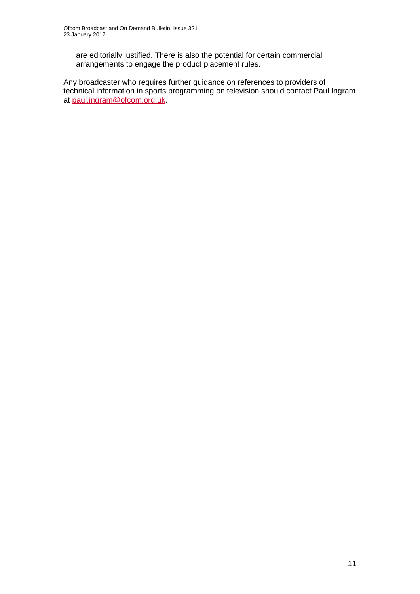are editorially justified. There is also the potential for certain commercial arrangements to engage the product placement rules.

Any broadcaster who requires further guidance on references to providers of technical information in sports programming on television should contact Paul Ingram at [paul.ingram@ofcom.org.uk.](mailto:paul.ingram@ofcom.org.uk)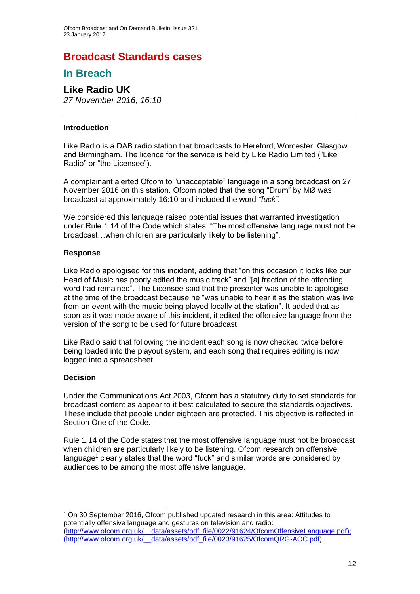### **Broadcast Standards cases**

### **In Breach**

## **Like Radio UK**

*27 November 2016, 16:10*

#### **Introduction**

Like Radio is a DAB radio station that broadcasts to Hereford, Worcester, Glasgow and Birmingham. The licence for the service is held by Like Radio Limited ("Like Radio" or "the Licensee").

A complainant alerted Ofcom to "unacceptable" language in a song broadcast on 27 November 2016 on this station. Ofcom noted that the song "Drum" by MØ was broadcast at approximately 16:10 and included the word *"fuck"*.

We considered this language raised potential issues that warranted investigation under Rule 1.14 of the Code which states: "The most offensive language must not be broadcast…when children are particularly likely to be listening".

#### **Response**

Like Radio apologised for this incident, adding that "on this occasion it looks like our Head of Music has poorly edited the music track" and "[a] fraction of the offending word had remained". The Licensee said that the presenter was unable to apologise at the time of the broadcast because he "was unable to hear it as the station was live from an event with the music being played locally at the station". It added that as soon as it was made aware of this incident, it edited the offensive language from the version of the song to be used for future broadcast.

Like Radio said that following the incident each song is now checked twice before being loaded into the playout system, and each song that requires editing is now logged into a spreadsheet.

#### **Decision**

1

Under the Communications Act 2003, Ofcom has a statutory duty to set standards for broadcast content as appear to it best calculated to secure the standards objectives. These include that people under eighteen are protected. This objective is reflected in Section One of the Code.

Rule 1.14 of the Code states that the most offensive language must not be broadcast when children are particularly likely to be listening. Ofcom research on offensive language<sup>1</sup> clearly states that the word "fuck" and similar words are considered by audiences to be among the most offensive language.

<sup>1</sup> On 30 September 2016, Ofcom published updated research in this area: Attitudes to potentially offensive language and gestures on television and radio: [\(http://www.ofcom.org.uk/\\_\\_data/assets/pdf\\_file/0022/91624/OfcomOffensiveLanguage.pdf\)](http://www.ofcom.org.uk/__data/assets/pdf_file/0022/91624/OfcomOffensiveLanguage.pdf); [\(http://www.ofcom.org.uk/\\_\\_data/assets/pdf\\_file/0023/91625/OfcomQRG-AOC.pdf\)](http://www.ofcom.org.uk/__data/assets/pdf_file/0023/91625/OfcomQRG-AOC.pdf).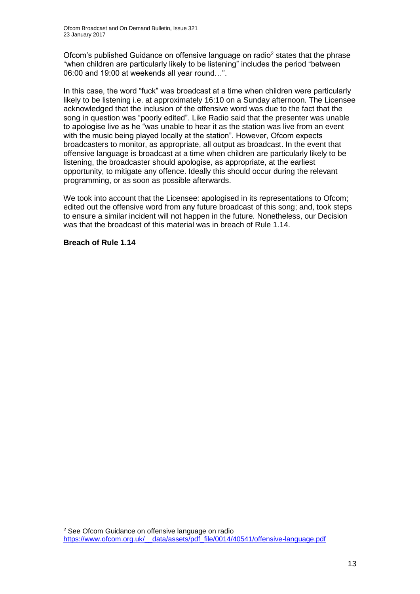Ofcom's published Guidance on offensive language on radio<sup>2</sup> states that the phrase "when children are particularly likely to be listening" includes the period "between 06:00 and 19:00 at weekends all year round…".

In this case, the word "fuck" was broadcast at a time when children were particularly likely to be listening i.e. at approximately 16:10 on a Sunday afternoon. The Licensee acknowledged that the inclusion of the offensive word was due to the fact that the song in question was "poorly edited". Like Radio said that the presenter was unable to apologise live as he "was unable to hear it as the station was live from an event with the music being played locally at the station". However, Ofcom expects broadcasters to monitor, as appropriate, all output as broadcast. In the event that offensive language is broadcast at a time when children are particularly likely to be listening, the broadcaster should apologise, as appropriate, at the earliest opportunity, to mitigate any offence. Ideally this should occur during the relevant programming, or as soon as possible afterwards.

We took into account that the Licensee: apologised in its representations to Ofcom; edited out the offensive word from any future broadcast of this song; and, took steps to ensure a similar incident will not happen in the future. Nonetheless, our Decision was that the broadcast of this material was in breach of Rule 1.14.

#### **Breach of Rule 1.14**

1

<sup>2</sup> See Ofcom Guidance on offensive language on radio [https://www.ofcom.org.uk/\\_\\_data/assets/pdf\\_file/0014/40541/offensive-language.pdf](https://www.ofcom.org.uk/__data/assets/pdf_file/0014/40541/offensive-language.pdf)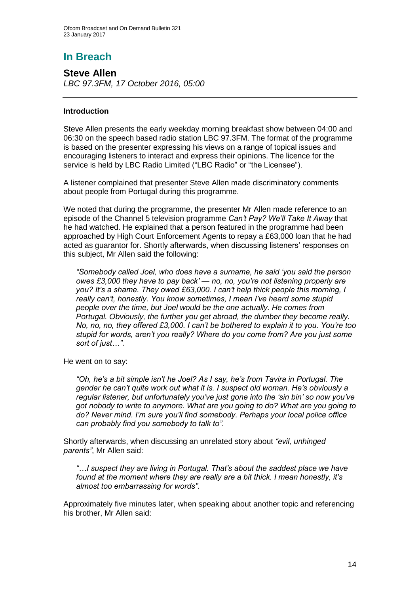## **In Breach**

**Steve Allen** *LBC 97.3FM, 17 October 2016, 05:00*

#### **Introduction**

Steve Allen presents the early weekday morning breakfast show between 04:00 and 06:30 on the speech based radio station LBC 97.3FM. The format of the programme is based on the presenter expressing his views on a range of topical issues and encouraging listeners to interact and express their opinions. The licence for the service is held by LBC Radio Limited ("LBC Radio" or "the Licensee").

A listener complained that presenter Steve Allen made discriminatory comments about people from Portugal during this programme.

We noted that during the programme, the presenter Mr Allen made reference to an episode of the Channel 5 television programme *Can't Pay? We'll Take It Away* that he had watched. He explained that a person featured in the programme had been approached by High Court Enforcement Agents to repay a £63,000 loan that he had acted as guarantor for. Shortly afterwards, when discussing listeners' responses on this subject, Mr Allen said the following:

*"Somebody called Joel, who does have a surname, he said 'you said the person owes £3,000 they have to pay back' — no, no, you're not listening properly are you? It's a shame. They owed £63,000. I can't help thick people this morning, I really can't, honestly. You know sometimes, I mean I've heard some stupid people over the time, but Joel would be the one actually. He comes from Portugal. Obviously, the further you get abroad, the dumber they become really. No, no, no, they offered £3,000. I can't be bothered to explain it to you. You're too stupid for words, aren't you really? Where do you come from? Are you just some sort of just…"*.

He went on to say:

*"Oh, he's a bit simple isn't he Joel? As I say, he's from Tavira in Portugal. The gender he can't quite work out what it is. I suspect old woman. He's obviously a regular listener, but unfortunately you've just gone into the 'sin bin' so now you've got nobody to write to anymore. What are you going to do? What are you going to do? Never mind. I'm sure you'll find somebody. Perhaps your local police office can probably find you somebody to talk to"*.

Shortly afterwards, when discussing an unrelated story about *"evil, unhinged parents"*, Mr Allen said:

*"…I suspect they are living in Portugal. That's about the saddest place we have found at the moment where they are really are a bit thick. I mean honestly, it's almost too embarrassing for words"*.

Approximately five minutes later, when speaking about another topic and referencing his brother, Mr Allen said: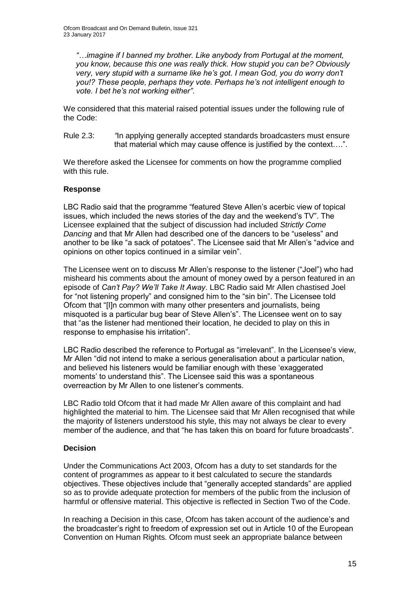*"…imagine if I banned my brother. Like anybody from Portugal at the moment, you know, because this one was really thick. How stupid you can be? Obviously very, very stupid with a surname like he's got. I mean God, you do worry don't you!? These people, perhaps they vote. Perhaps he's not intelligent enough to vote. I bet he's not working either"*.

We considered that this material raised potential issues under the following rule of the Code:

Rule 2.3: *"*In applying generally accepted standards broadcasters must ensure that material which may cause offence is justified by the context….".

We therefore asked the Licensee for comments on how the programme complied with this rule.

#### **Response**

LBC Radio said that the programme "featured Steve Allen's acerbic view of topical issues, which included the news stories of the day and the weekend's TV". The Licensee explained that the subject of discussion had included *Strictly Come Dancing* and that Mr Allen had described one of the dancers to be "useless" and another to be like "a sack of potatoes". The Licensee said that Mr Allen's "advice and opinions on other topics continued in a similar vein".

The Licensee went on to discuss Mr Allen's response to the listener ("Joel") who had misheard his comments about the amount of money owed by a person featured in an episode of *Can't Pay? We'll Take It Away*. LBC Radio said Mr Allen chastised Joel for "not listening properly" and consigned him to the "sin bin". The Licensee told Ofcom that "[I]n common with many other presenters and journalists, being misquoted is a particular bug bear of Steve Allen's". The Licensee went on to say that "as the listener had mentioned their location, he decided to play on this in response to emphasise his irritation".

LBC Radio described the reference to Portugal as "irrelevant". In the Licensee's view, Mr Allen "did not intend to make a serious generalisation about a particular nation, and believed his listeners would be familiar enough with these 'exaggerated moments' to understand this". The Licensee said this was a spontaneous overreaction by Mr Allen to one listener's comments.

LBC Radio told Ofcom that it had made Mr Allen aware of this complaint and had highlighted the material to him. The Licensee said that Mr Allen recognised that while the majority of listeners understood his style, this may not always be clear to every member of the audience, and that "he has taken this on board for future broadcasts".

#### **Decision**

Under the Communications Act 2003, Ofcom has a duty to set standards for the content of programmes as appear to it best calculated to secure the standards objectives. These objectives include that "generally accepted standards" are applied so as to provide adequate protection for members of the public from the inclusion of harmful or offensive material. This objective is reflected in Section Two of the Code.

In reaching a Decision in this case, Ofcom has taken account of the audience's and the broadcaster's right to freedom of expression set out in Article 10 of the European Convention on Human Rights. Ofcom must seek an appropriate balance between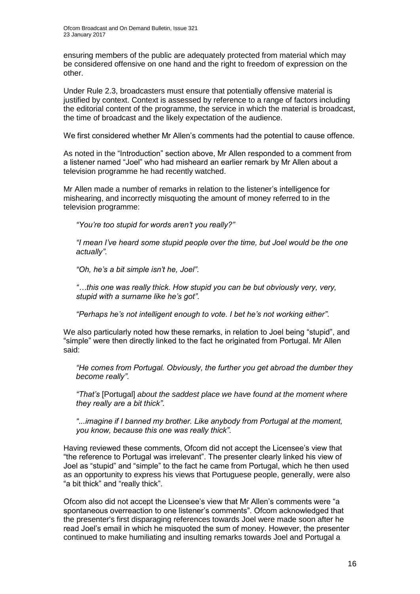ensuring members of the public are adequately protected from material which may be considered offensive on one hand and the right to freedom of expression on the other.

Under Rule 2.3, broadcasters must ensure that potentially offensive material is justified by context. Context is assessed by reference to a range of factors including the editorial content of the programme, the service in which the material is broadcast, the time of broadcast and the likely expectation of the audience.

We first considered whether Mr Allen's comments had the potential to cause offence.

As noted in the "Introduction" section above, Mr Allen responded to a comment from a listener named "Joel" who had misheard an earlier remark by Mr Allen about a television programme he had recently watched.

Mr Allen made a number of remarks in relation to the listener's intelligence for mishearing, and incorrectly misquoting the amount of money referred to in the television programme:

*"You're too stupid for words aren't you really?"*

*"I mean I've heard some stupid people over the time, but Joel would be the one actually"*.

*"Oh, he's a bit simple isn't he, Joel"*.

*"…this one was really thick. How stupid you can be but obviously very, very, stupid with a surname like he's got"*.

*"Perhaps he's not intelligent enough to vote. I bet he's not working either"*.

We also particularly noted how these remarks, in relation to Joel being "stupid", and "simple" were then directly linked to the fact he originated from Portugal. Mr Allen said:

*"He comes from Portugal. Obviously, the further you get abroad the dumber they become really"*.

*"That's* [Portugal] *about the saddest place we have found at the moment where they really are a bit thick"*.

*"...imagine if I banned my brother. Like anybody from Portugal at the moment, you know, because this one was really thick"*.

Having reviewed these comments, Ofcom did not accept the Licensee's view that "the reference to Portugal was irrelevant". The presenter clearly linked his view of Joel as "stupid" and "simple" to the fact he came from Portugal, which he then used as an opportunity to express his views that Portuguese people, generally, were also "a bit thick" and "really thick".

Ofcom also did not accept the Licensee's view that Mr Allen's comments were "a spontaneous overreaction to one listener's comments". Ofcom acknowledged that the presenter's first disparaging references towards Joel were made soon after he read Joel's email in which he misquoted the sum of money. However, the presenter continued to make humiliating and insulting remarks towards Joel and Portugal a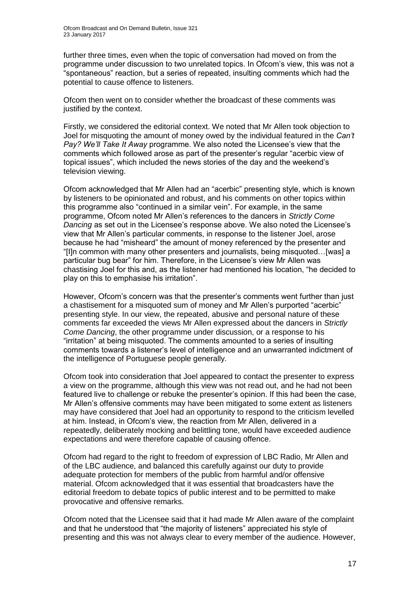further three times, even when the topic of conversation had moved on from the programme under discussion to two unrelated topics. In Ofcom's view, this was not a "spontaneous" reaction, but a series of repeated, insulting comments which had the potential to cause offence to listeners.

Ofcom then went on to consider whether the broadcast of these comments was justified by the context.

Firstly, we considered the editorial context. We noted that Mr Allen took objection to Joel for misquoting the amount of money owed by the individual featured in the *Can't Pay? We'll Take It Away* programme. We also noted the Licensee's view that the comments which followed arose as part of the presenter's regular "acerbic view of topical issues", which included the news stories of the day and the weekend's television viewing.

Ofcom acknowledged that Mr Allen had an "acerbic" presenting style, which is known by listeners to be opinionated and robust, and his comments on other topics within this programme also "continued in a similar vein". For example, in the same programme, Ofcom noted Mr Allen's references to the dancers in *Strictly Come Dancing* as set out in the Licensee's response above. We also noted the Licensee's view that Mr Allen's particular comments, in response to the listener Joel, arose because he had "misheard" the amount of money referenced by the presenter and "[I]n common with many other presenters and journalists, being misquoted…[was] a particular bug bear" for him. Therefore, in the Licensee's view Mr Allen was chastising Joel for this and, as the listener had mentioned his location, "he decided to play on this to emphasise his irritation".

However, Ofcom's concern was that the presenter's comments went further than just a chastisement for a misquoted sum of money and Mr Allen's purported "acerbic" presenting style. In our view, the repeated, abusive and personal nature of these comments far exceeded the views Mr Allen expressed about the dancers in *Strictly Come Dancing*, the other programme under discussion, or a response to his "irritation" at being misquoted. The comments amounted to a series of insulting comments towards a listener's level of intelligence and an unwarranted indictment of the intelligence of Portuguese people generally.

Ofcom took into consideration that Joel appeared to contact the presenter to express a view on the programme, although this view was not read out, and he had not been featured live to challenge or rebuke the presenter's opinion. If this had been the case, Mr Allen's offensive comments may have been mitigated to some extent as listeners may have considered that Joel had an opportunity to respond to the criticism levelled at him. Instead, in Ofcom's view, the reaction from Mr Allen, delivered in a repeatedly, deliberately mocking and belittling tone, would have exceeded audience expectations and were therefore capable of causing offence.

Ofcom had regard to the right to freedom of expression of LBC Radio, Mr Allen and of the LBC audience, and balanced this carefully against our duty to provide adequate protection for members of the public from harmful and/or offensive material. Ofcom acknowledged that it was essential that broadcasters have the editorial freedom to debate topics of public interest and to be permitted to make provocative and offensive remarks.

Ofcom noted that the Licensee said that it had made Mr Allen aware of the complaint and that he understood that "the majority of listeners" appreciated his style of presenting and this was not always clear to every member of the audience. However,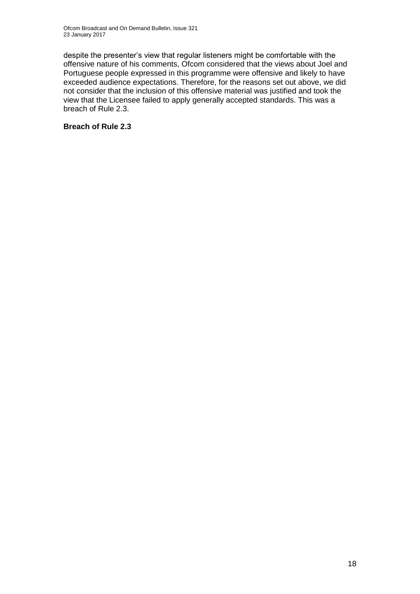despite the presenter's view that regular listeners might be comfortable with the offensive nature of his comments, Ofcom considered that the views about Joel and Portuguese people expressed in this programme were offensive and likely to have exceeded audience expectations. Therefore, for the reasons set out above, we did not consider that the inclusion of this offensive material was justified and took the view that the Licensee failed to apply generally accepted standards. This was a breach of Rule 2.3.

#### **Breach of Rule 2.3**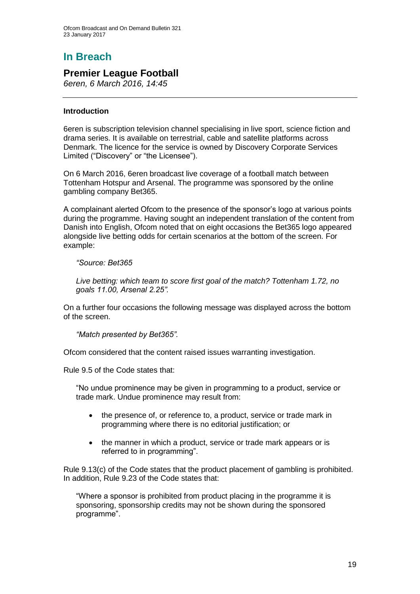## **In Breach**

### **Premier League Football**

*6eren, 6 March 2016, 14:45*

#### **Introduction**

6eren is subscription television channel specialising in live sport, science fiction and drama series. It is available on terrestrial, cable and satellite platforms across Denmark. The licence for the service is owned by Discovery Corporate Services Limited ("Discovery" or "the Licensee").

On 6 March 2016, 6eren broadcast live coverage of a football match between Tottenham Hotspur and Arsenal. The programme was sponsored by the online gambling company Bet365.

A complainant alerted Ofcom to the presence of the sponsor's logo at various points during the programme. Having sought an independent translation of the content from Danish into English, Ofcom noted that on eight occasions the Bet365 logo appeared alongside live betting odds for certain scenarios at the bottom of the screen. For example:

#### *"Source: Bet365*

*Live betting: which team to score first goal of the match? Tottenham 1.72, no goals 11.00, Arsenal 2.25".*

On a further four occasions the following message was displayed across the bottom of the screen.

*"Match presented by Bet365".*

Ofcom considered that the content raised issues warranting investigation.

Rule 9.5 of the Code states that:

"No undue prominence may be given in programming to a product, service or trade mark. Undue prominence may result from:

- the presence of, or reference to, a product, service or trade mark in programming where there is no editorial justification; or
- the manner in which a product, service or trade mark appears or is referred to in programming".

Rule 9.13(c) of the Code states that the product placement of gambling is prohibited. In addition, Rule 9.23 of the Code states that:

"Where a sponsor is prohibited from product placing in the programme it is sponsoring, sponsorship credits may not be shown during the sponsored programme".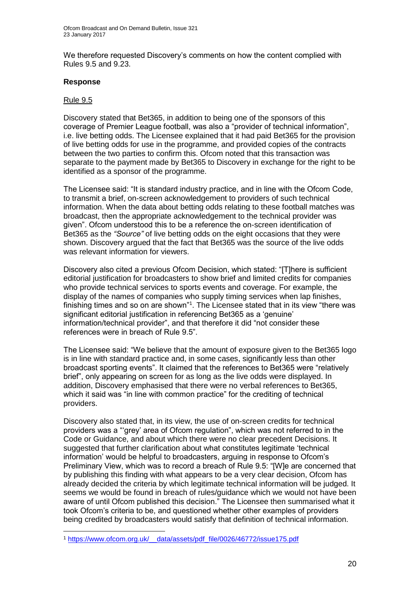We therefore requested Discovery's comments on how the content complied with Rules 9.5 and 9.23.

#### **Response**

#### Rule 9.5

1

Discovery stated that Bet365, in addition to being one of the sponsors of this coverage of Premier League football, was also a "provider of technical information", i.e. live betting odds. The Licensee explained that it had paid Bet365 for the provision of live betting odds for use in the programme, and provided copies of the contracts between the two parties to confirm this. Ofcom noted that this transaction was separate to the payment made by Bet365 to Discovery in exchange for the right to be identified as a sponsor of the programme.

The Licensee said: "It is standard industry practice, and in line with the Ofcom Code, to transmit a brief, on-screen acknowledgement to providers of such technical information. When the data about betting odds relating to these football matches was broadcast, then the appropriate acknowledgement to the technical provider was given". Ofcom understood this to be a reference the on-screen identification of Bet365 as the *"Source"* of live betting odds on the eight occasions that they were shown. Discovery argued that the fact that Bet365 was the source of the live odds was relevant information for viewers.

Discovery also cited a previous Ofcom Decision, which stated: "[T]here is sufficient editorial justification for broadcasters to show brief and limited credits for companies who provide technical services to sports events and coverage. For example, the display of the names of companies who supply timing services when lap finishes, finishing times and so on are shown"<sup>1</sup>. The Licensee stated that in its view "there was significant editorial justification in referencing Bet365 as a 'genuine' information/technical provider", and that therefore it did "not consider these references were in breach of Rule 9.5".

The Licensee said: "We believe that the amount of exposure given to the Bet365 logo is in line with standard practice and, in some cases, significantly less than other broadcast sporting events". It claimed that the references to Bet365 were "relatively brief", only appearing on screen for as long as the live odds were displayed. In addition, Discovery emphasised that there were no verbal references to Bet365, which it said was "in line with common practice" for the crediting of technical providers.

Discovery also stated that, in its view, the use of on-screen credits for technical providers was a "'grey' area of Ofcom regulation", which was not referred to in the Code or Guidance, and about which there were no clear precedent Decisions. It suggested that further clarification about what constitutes legitimate 'technical information' would be helpful to broadcasters, arguing in response to Ofcom's Preliminary View, which was to record a breach of Rule 9.5: "[W]e are concerned that by publishing this finding with what appears to be a very clear decision, Ofcom has already decided the criteria by which legitimate technical information will be judged. It seems we would be found in breach of rules/guidance which we would not have been aware of until Ofcom published this decision." The Licensee then summarised what it took Ofcom's criteria to be, and questioned whether other examples of providers being credited by broadcasters would satisfy that definition of technical information.

<sup>1</sup> [https://www.ofcom.org.uk/\\_\\_data/assets/pdf\\_file/0026/46772/issue175.pdf](https://www.ofcom.org.uk/__data/assets/pdf_file/0026/46772/issue175.pdf)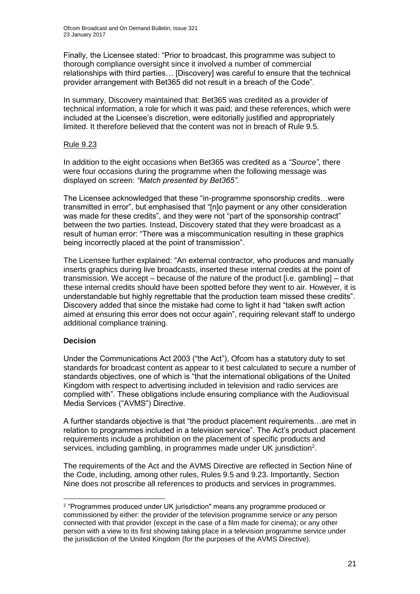Finally, the Licensee stated: "Prior to broadcast, this programme was subject to thorough compliance oversight since it involved a number of commercial relationships with third parties… [Discovery] was careful to ensure that the technical provider arrangement with Bet365 did not result in a breach of the Code".

In summary, Discovery maintained that: Bet365 was credited as a provider of technical information, a role for which it was paid; and these references, which were included at the Licensee's discretion, were editorially justified and appropriately limited. It therefore believed that the content was not in breach of Rule 9.5.

#### Rule 9.23

In addition to the eight occasions when Bet365 was credited as a *"Source"*, there were four occasions during the programme when the following message was displayed on screen: *"Match presented by Bet365".* 

The Licensee acknowledged that these "in-programme sponsorship credits…were transmitted in error", but emphasised that "[n]o payment or any other consideration was made for these credits", and they were not "part of the sponsorship contract" between the two parties. Instead, Discovery stated that they were broadcast as a result of human error: "There was a miscommunication resulting in these graphics being incorrectly placed at the point of transmission".

The Licensee further explained: "An external contractor, who produces and manually inserts graphics during live broadcasts, inserted these internal credits at the point of transmission. We accept – because of the nature of the product [i.e. gambling] – that these internal credits should have been spotted before they went to air. However, it is understandable but highly regrettable that the production team missed these credits". Discovery added that since the mistake had come to light it had "taken swift action aimed at ensuring this error does not occur again", requiring relevant staff to undergo additional compliance training.

#### **Decision**

1

Under the Communications Act 2003 ("the Act"), Ofcom has a statutory duty to set standards for broadcast content as appear to it best calculated to secure a number of standards objectives, one of which is "that the international obligations of the United Kingdom with respect to advertising included in television and radio services are complied with". These obligations include ensuring compliance with the Audiovisual Media Services ("AVMS") Directive.

A further standards objective is that "the product placement requirements…are met in relation to programmes included in a television service". The Act's product placement requirements include a prohibition on the placement of specific products and services, including gambling, in programmes made under UK jurisdiction<sup>2</sup>.

The requirements of the Act and the AVMS Directive are reflected in Section Nine of the Code, including, among other rules, Rules 9.5 and 9.23. Importantly, Section Nine does not proscribe all references to products and services in programmes.

<sup>2</sup> "Programmes produced under UK jurisdiction" means any programme produced or commissioned by either: the provider of the television programme service or any person connected with that provider (except in the case of a film made for cinema); or any other person with a view to its first showing taking place in a television programme service under the jurisdiction of the United Kingdom (for the purposes of the AVMS Directive).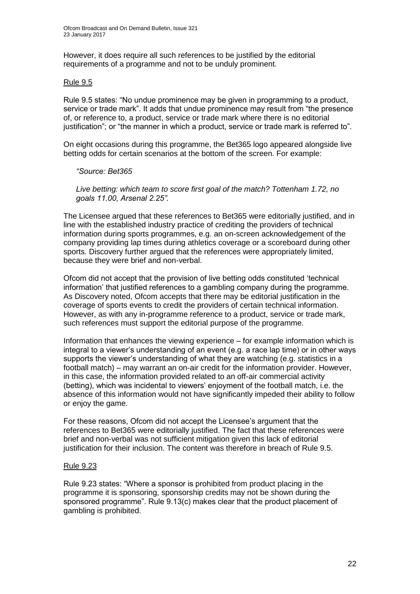However, it does require all such references to be justified by the editorial requirements of a programme and not to be unduly prominent.

#### Rule 9.5

Rule 9.5 states: "No undue prominence may be given in programming to a product, service or trade mark". It adds that undue prominence may result from "the presence of, or reference to, a product, service or trade mark where there is no editorial justification"; or "the manner in which a product, service or trade mark is referred to".

On eight occasions during this programme, the Bet365 logo appeared alongside live betting odds for certain scenarios at the bottom of the screen. For example:

#### *"Source: Bet365*

*Live betting: which team to score first goal of the match? Tottenham 1.72, no goals 11.00, Arsenal 2.25".*

The Licensee argued that these references to Bet365 were editorially justified, and in line with the established industry practice of crediting the providers of technical information during sports programmes, e.g. an on-screen acknowledgement of the company providing lap times during athletics coverage or a scoreboard during other sports. Discovery further argued that the references were appropriately limited, because they were brief and non-verbal.

Ofcom did not accept that the provision of live betting odds constituted 'technical information' that justified references to a gambling company during the programme. As Discovery noted, Ofcom accepts that there may be editorial justification in the coverage of sports events to credit the providers of certain technical information. However, as with any in-programme reference to a product, service or trade mark, such references must support the editorial purpose of the programme.

Information that enhances the viewing experience – for example information which is integral to a viewer's understanding of an event (e.g. a race lap time) or in other ways supports the viewer's understanding of what they are watching (e.g. statistics in a football match) – may warrant an on-air credit for the information provider. However, in this case, the information provided related to an off-air commercial activity (betting), which was incidental to viewers' enjoyment of the football match, i.e. the absence of this information would not have significantly impeded their ability to follow or enjoy the game.

For these reasons, Ofcom did not accept the Licensee's argument that the references to Bet365 were editorially justified. The fact that these references were brief and non-verbal was not sufficient mitigation given this lack of editorial justification for their inclusion. The content was therefore in breach of Rule 9.5.

#### Rule 9.23

Rule 9.23 states: "Where a sponsor is prohibited from product placing in the programme it is sponsoring, sponsorship credits may not be shown during the sponsored programme". Rule 9.13(c) makes clear that the product placement of gambling is prohibited.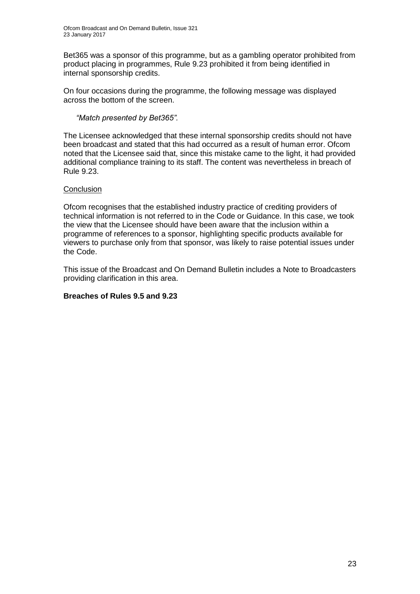Bet365 was a sponsor of this programme, but as a gambling operator prohibited from product placing in programmes, Rule 9.23 prohibited it from being identified in internal sponsorship credits.

On four occasions during the programme, the following message was displayed across the bottom of the screen.

#### *"Match presented by Bet365".*

The Licensee acknowledged that these internal sponsorship credits should not have been broadcast and stated that this had occurred as a result of human error. Ofcom noted that the Licensee said that, since this mistake came to the light, it had provided additional compliance training to its staff. The content was nevertheless in breach of Rule 9.23.

#### **Conclusion**

Ofcom recognises that the established industry practice of crediting providers of technical information is not referred to in the Code or Guidance. In this case, we took the view that the Licensee should have been aware that the inclusion within a programme of references to a sponsor, highlighting specific products available for viewers to purchase only from that sponsor, was likely to raise potential issues under the Code.

This issue of the Broadcast and On Demand Bulletin includes a Note to Broadcasters providing clarification in this area.

#### **Breaches of Rules 9.5 and 9.23**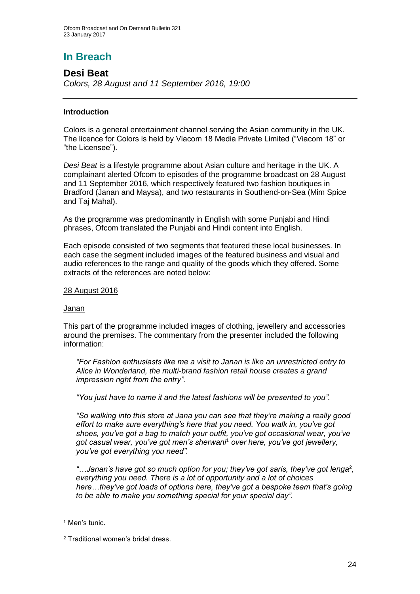## **In Breach**

#### **Desi Beat** *Colors, 28 August and 11 September 2016, 19:00*

#### **Introduction**

Colors is a general entertainment channel serving the Asian community in the UK. The licence for Colors is held by Viacom 18 Media Private Limited ("Viacom 18" or "the Licensee").

*Desi Beat* is a lifestyle programme about Asian culture and heritage in the UK. A complainant alerted Ofcom to episodes of the programme broadcast on 28 August and 11 September 2016, which respectively featured two fashion boutiques in Bradford (Janan and Maysa), and two restaurants in Southend-on-Sea (Mim Spice and Taj Mahal).

As the programme was predominantly in English with some Punjabi and Hindi phrases, Ofcom translated the Punjabi and Hindi content into English.

Each episode consisted of two segments that featured these local businesses. In each case the segment included images of the featured business and visual and audio references to the range and quality of the goods which they offered. Some extracts of the references are noted below:

#### 28 August 2016

#### Janan

This part of the programme included images of clothing, jewellery and accessories around the premises. The commentary from the presenter included the following information:

*"For Fashion enthusiasts like me a visit to Janan is like an unrestricted entry to Alice in Wonderland, the multi-brand fashion retail house creates a grand impression right from the entry".*

*"You just have to name it and the latest fashions will be presented to you".*

*"So walking into this store at Jana you can see that they're making a really good effort to make sure everything's here that you need. You walk in, you've got shoes, you've got a bag to match your outfit, you've got occasional wear, you've got casual wear, you've got men's sherwani*<sup>1</sup> *over here, you've got jewellery, you've got everything you need".*

"...Janan's have got so much option for you; they've got saris, they've got lenga<sup>2</sup>, *everything you need. There is a lot of opportunity and a lot of choices here…they've got loads of options here, they've got a bespoke team that's going to be able to make you something special for your special day".*

1

<sup>1</sup> Men's tunic.

<sup>2</sup> Traditional women's bridal dress.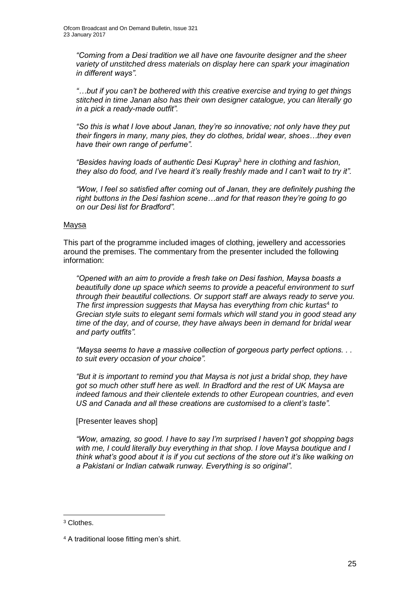*"Coming from a Desi tradition we all have one favourite designer and the sheer variety of unstitched dress materials on display here can spark your imagination in different ways".*

*"…but if you can't be bothered with this creative exercise and trying to get things stitched in time Janan also has their own designer catalogue, you can literally go in a pick a ready-made outfit".* 

*"So this is what I love about Janan, they're so innovative; not only have they put their fingers in many, many pies, they do clothes, bridal wear, shoes…they even have their own range of perfume".*

*"Besides having loads of authentic Desi Kupray*<sup>3</sup> *here in clothing and fashion, they also do food, and I've heard it's really freshly made and I can't wait to try it".*

*"Wow, I feel so satisfied after coming out of Janan, they are definitely pushing the right buttons in the Desi fashion scene…and for that reason they're going to go on our Desi list for Bradford".*

#### Maysa

This part of the programme included images of clothing, jewellery and accessories around the premises. The commentary from the presenter included the following information:

*"Opened with an aim to provide a fresh take on Desi fashion, Maysa boasts a beautifully done up space which seems to provide a peaceful environment to surf through their beautiful collections. Or support staff are always ready to serve you.*  The first impression suggests that Maysa has everything from chic kurtas<sup>4</sup> to *Grecian style suits to elegant semi formals which will stand you in good stead any time of the day, and of course, they have always been in demand for bridal wear and party outfits".*

*"Maysa seems to have a massive collection of gorgeous party perfect options. . . to suit every occasion of your choice".*

*"But it is important to remind you that Maysa is not just a bridal shop, they have got so much other stuff here as well. In Bradford and the rest of UK Maysa are indeed famous and their clientele extends to other European countries, and even US and Canada and all these creations are customised to a client's taste".*

[Presenter leaves shop]

*"Wow, amazing, so good. I have to say I'm surprised I haven't got shopping bags with me, I could literally buy everything in that shop. I love Maysa boutique and I think what's good about it is if you cut sections of the store out it's like walking on a Pakistani or Indian catwalk runway. Everything is so original".* 

1

<sup>3</sup> Clothes.

<sup>4</sup> A traditional loose fitting men's shirt.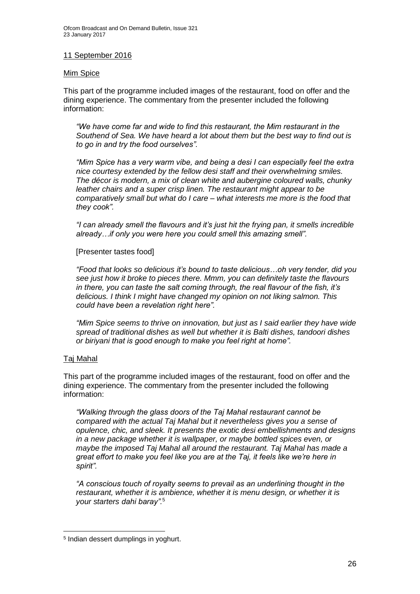#### 11 September 2016

#### Mim Spice

This part of the programme included images of the restaurant, food on offer and the dining experience. The commentary from the presenter included the following information:

*"We have come far and wide to find this restaurant, the Mim restaurant in the Southend of Sea. We have heard a lot about them but the best way to find out is to go in and try the food ourselves".*

*"Mim Spice has a very warm vibe, and being a desi I can especially feel the extra nice courtesy extended by the fellow desi staff and their overwhelming smiles. The décor is modern, a mix of clean white and aubergine coloured walls, chunky leather chairs and a super crisp linen. The restaurant might appear to be comparatively small but what do I care – what interests me more is the food that they cook".*

*"I can already smell the flavours and it's just hit the frying pan, it smells incredible already…if only you were here you could smell this amazing smell".*

[Presenter tastes food]

*"Food that looks so delicious it's bound to taste delicious…oh very tender, did you see just how it broke to pieces there. Mmm, you can definitely taste the flavours in there, you can taste the salt coming through, the real flavour of the fish, it's delicious. I think I might have changed my opinion on not liking salmon. This could have been a revelation right here".*

*"Mim Spice seems to thrive on innovation, but just as I said earlier they have wide spread of traditional dishes as well but whether it is Balti dishes, tandoori dishes or biriyani that is good enough to make you feel right at home".*

#### Taj Mahal

1

This part of the programme included images of the restaurant, food on offer and the dining experience. The commentary from the presenter included the following information:

*"Walking through the glass doors of the Taj Mahal restaurant cannot be compared with the actual Taj Mahal but it nevertheless gives you a sense of opulence, chic, and sleek. It presents the exotic desi embellishments and designs in a new package whether it is wallpaper, or maybe bottled spices even, or maybe the imposed Taj Mahal all around the restaurant. Taj Mahal has made a great effort to make you feel like you are at the Taj, it feels like we're here in spirit".*

*"A conscious touch of royalty seems to prevail as an underlining thought in the restaurant, whether it is ambience, whether it is menu design, or whether it is your starters dahi baray".*<sup>5</sup>

<sup>5</sup> Indian dessert dumplings in yoghurt.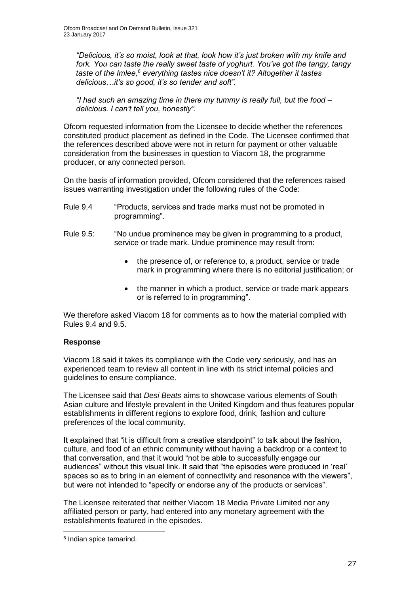*"Delicious, it's so moist, look at that, look how it's just broken with my knife and fork. You can taste the really sweet taste of yoghurt. You've got the tangy, tangy taste of the Imlee,*<sup>6</sup> *everything tastes nice doesn't it? Altogether it tastes delicious…it's so good, it's so tender and soft".*

*"I had such an amazing time in there my tummy is really full, but the food – delicious. I can't tell you, honestly".*

Ofcom requested information from the Licensee to decide whether the references constituted product placement as defined in the Code. The Licensee confirmed that the references described above were not in return for payment or other valuable consideration from the businesses in question to Viacom 18, the programme producer, or any connected person.

On the basis of information provided, Ofcom considered that the references raised issues warranting investigation under the following rules of the Code:

- Rule 9.4 "Products, services and trade marks must not be promoted in programming".
- Rule 9.5: "No undue prominence may be given in programming to a product, service or trade mark. Undue prominence may result from:
	- the presence of, or reference to, a product, service or trade mark in programming where there is no editorial justification; or
	- the manner in which a product, service or trade mark appears or is referred to in programming".

We therefore asked Viacom 18 for comments as to how the material complied with Rules 9.4 and 9.5.

#### **Response**

Viacom 18 said it takes its compliance with the Code very seriously, and has an experienced team to review all content in line with its strict internal policies and guidelines to ensure compliance.

The Licensee said that *Desi Beats* aims to showcase various elements of South Asian culture and lifestyle prevalent in the United Kingdom and thus features popular establishments in different regions to explore food, drink, fashion and culture preferences of the local community.

It explained that "it is difficult from a creative standpoint" to talk about the fashion, culture, and food of an ethnic community without having a backdrop or a context to that conversation, and that it would "not be able to successfully engage our audiences" without this visual link. It said that "the episodes were produced in 'real' spaces so as to bring in an element of connectivity and resonance with the viewers", but were not intended to "specify or endorse any of the products or services".

The Licensee reiterated that neither Viacom 18 Media Private Limited nor any affiliated person or party, had entered into any monetary agreement with the establishments featured in the episodes.

1

<sup>6</sup> Indian spice tamarind.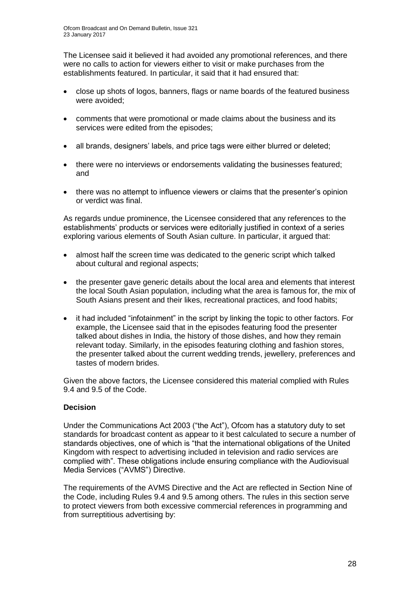The Licensee said it believed it had avoided any promotional references, and there were no calls to action for viewers either to visit or make purchases from the establishments featured. In particular, it said that it had ensured that:

- close up shots of logos, banners, flags or name boards of the featured business were avoided;
- comments that were promotional or made claims about the business and its services were edited from the episodes;
- all brands, designers' labels, and price tags were either blurred or deleted;
- there were no interviews or endorsements validating the businesses featured; and
- there was no attempt to influence viewers or claims that the presenter's opinion or verdict was final.

As regards undue prominence, the Licensee considered that any references to the establishments' products or services were editorially justified in context of a series exploring various elements of South Asian culture. In particular, it argued that:

- almost half the screen time was dedicated to the generic script which talked about cultural and regional aspects;
- the presenter gave generic details about the local area and elements that interest the local South Asian population, including what the area is famous for, the mix of South Asians present and their likes, recreational practices, and food habits;
- it had included "infotainment" in the script by linking the topic to other factors. For example, the Licensee said that in the episodes featuring food the presenter talked about dishes in India, the history of those dishes, and how they remain relevant today. Similarly, in the episodes featuring clothing and fashion stores, the presenter talked about the current wedding trends, jewellery, preferences and tastes of modern brides.

Given the above factors, the Licensee considered this material complied with Rules 9.4 and 9.5 of the Code.

#### **Decision**

Under the Communications Act 2003 ("the Act"), Ofcom has a statutory duty to set standards for broadcast content as appear to it best calculated to secure a number of standards objectives, one of which is "that the international obligations of the United Kingdom with respect to advertising included in television and radio services are complied with". These obligations include ensuring compliance with the Audiovisual Media Services ("AVMS") Directive.

The requirements of the AVMS Directive and the Act are reflected in Section Nine of the Code, including Rules 9.4 and 9.5 among others. The rules in this section serve to protect viewers from both excessive commercial references in programming and from surreptitious advertising by: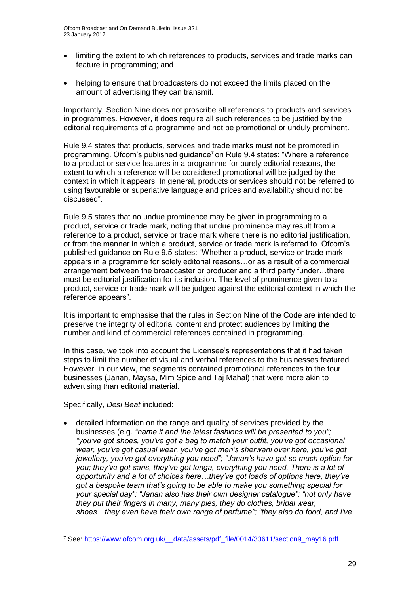- limiting the extent to which references to products, services and trade marks can feature in programming; and
- helping to ensure that broadcasters do not exceed the limits placed on the amount of advertising they can transmit.

Importantly, Section Nine does not proscribe all references to products and services in programmes. However, it does require all such references to be justified by the editorial requirements of a programme and not be promotional or unduly prominent.

Rule 9.4 states that products, services and trade marks must not be promoted in programming. Of com's published guidance<sup>7</sup> on Rule 9.4 states: "Where a reference to a product or service features in a programme for purely editorial reasons, the extent to which a reference will be considered promotional will be judged by the context in which it appears. In general, products or services should not be referred to using favourable or superlative language and prices and availability should not be discussed".

Rule 9.5 states that no undue prominence may be given in programming to a product, service or trade mark, noting that undue prominence may result from a reference to a product, service or trade mark where there is no editorial justification, or from the manner in which a product, service or trade mark is referred to. Ofcom's published guidance on Rule 9.5 states: "Whether a product, service or trade mark appears in a programme for solely editorial reasons…or as a result of a commercial arrangement between the broadcaster or producer and a third party funder…there must be editorial justification for its inclusion. The level of prominence given to a product, service or trade mark will be judged against the editorial context in which the reference appears".

It is important to emphasise that the rules in Section Nine of the Code are intended to preserve the integrity of editorial content and protect audiences by limiting the number and kind of commercial references contained in programming.

In this case, we took into account the Licensee's representations that it had taken steps to limit the number of visual and verbal references to the businesses featured. However, in our view, the segments contained promotional references to the four businesses (Janan, Maysa, Mim Spice and Taj Mahal) that were more akin to advertising than editorial material.

Specifically, *Desi Beat* included:

1

 detailed information on the range and quality of services provided by the businesses (e.g. *"name it and the latest fashions will be presented to you"; "you've got shoes, you've got a bag to match your outfit, you've got occasional wear, you've got casual wear, you've got men's sherwani over here, you've got jewellery, you've got everything you need"; "Janan's have got so much option for you; they've got saris, they've got lenga, everything you need. There is a lot of opportunity and a lot of choices here…they've got loads of options here, they've got a bespoke team that's going to be able to make you something special for your special day"; "Janan also has their own designer catalogue"; "not only have they put their fingers in many, many pies, they do clothes, bridal wear, shoes…they even have their own range of perfume"; "they also do food, and I've* 

<sup>7</sup> See: [https://www.ofcom.org.uk/\\_\\_data/assets/pdf\\_file/0014/33611/section9\\_may16.pdf](https://www.ofcom.org.uk/__data/assets/pdf_file/0014/33611/section9_may16.pdf)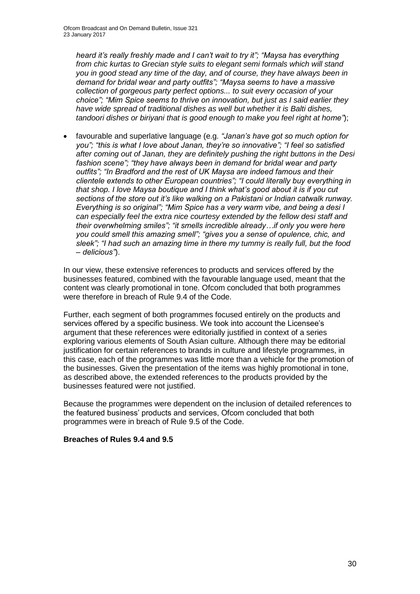*heard it's really freshly made and I can't wait to try it"; "Maysa has everything from chic kurtas to Grecian style suits to elegant semi formals which will stand you in good stead any time of the day, and of course, they have always been in demand for bridal wear and party outfits"; "Maysa seems to have a massive collection of gorgeous party perfect options... to suit every occasion of your choice"; "Mim Spice seems to thrive on innovation, but just as I said earlier they have wide spread of traditional dishes as well but whether it is Balti dishes, tandoori dishes or biriyani that is good enough to make you feel right at home"*);

 favourable and superlative language (e.g*. "Janan's have got so much option for you"; "this is what I love about Janan, they're so innovative"; "I feel so satisfied after coming out of Janan, they are definitely pushing the right buttons in the Desi fashion scene"; "they have always been in demand for bridal wear and party outfits"; "In Bradford and the rest of UK Maysa are indeed famous and their clientele extends to other European countries"; "I could literally buy everything in that shop. I love Maysa boutique and I think what's good about it is if you cut sections of the store out it's like walking on a Pakistani or Indian catwalk runway. Everything is so original"; "Mim Spice has a very warm vibe, and being a desi I can especially feel the extra nice courtesy extended by the fellow desi staff and their overwhelming smiles"; "it smells incredible already…if only you were here you could smell this amazing smell"; "gives you a sense of opulence, chic, and sleek"; "I had such an amazing time in there my tummy is really full, but the food – delicious"*).

In our view, these extensive references to products and services offered by the businesses featured, combined with the favourable language used, meant that the content was clearly promotional in tone. Ofcom concluded that both programmes were therefore in breach of Rule 9.4 of the Code.

Further, each segment of both programmes focused entirely on the products and services offered by a specific business. We took into account the Licensee's argument that these references were editorially justified in context of a series exploring various elements of South Asian culture. Although there may be editorial justification for certain references to brands in culture and lifestyle programmes, in this case, each of the programmes was little more than a vehicle for the promotion of the businesses. Given the presentation of the items was highly promotional in tone, as described above, the extended references to the products provided by the businesses featured were not justified.

Because the programmes were dependent on the inclusion of detailed references to the featured business' products and services, Ofcom concluded that both programmes were in breach of Rule 9.5 of the Code.

#### **Breaches of Rules 9.4 and 9.5**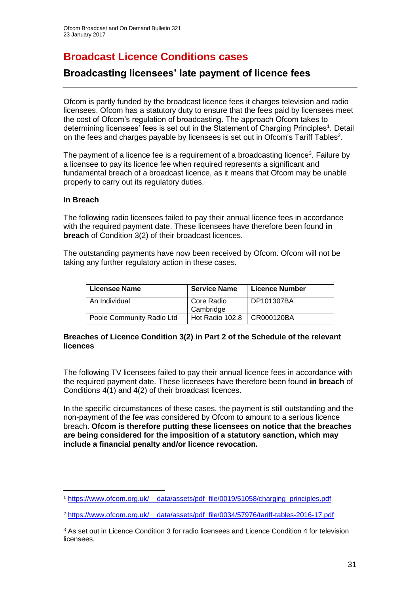## **Broadcast Licence Conditions cases**

### **Broadcasting licensees' late payment of licence fees**

Ofcom is partly funded by the broadcast licence fees it charges television and radio licensees. Ofcom has a statutory duty to ensure that the fees paid by licensees meet the cost of Ofcom's regulation of broadcasting. The approach Ofcom takes to determining licensees' fees is set out in the Statement of Charging Principles<sup>1</sup>. Detail on the fees and charges payable by licensees is set out in Ofcom's Tariff Tables<sup>2</sup>.

The payment of a licence fee is a requirement of a broadcasting licence<sup>3</sup>. Failure by a licensee to pay its licence fee when required represents a significant and fundamental breach of a broadcast licence, as it means that Ofcom may be unable properly to carry out its regulatory duties.

#### **In Breach**

The following radio licensees failed to pay their annual licence fees in accordance with the required payment date. These licensees have therefore been found **in breach** of Condition 3(2) of their broadcast licences.

The outstanding payments have now been received by Ofcom. Ofcom will not be taking any further regulatory action in these cases.

| Licensee Name             | <b>Service Name</b>          | <b>Licence Number</b> |
|---------------------------|------------------------------|-----------------------|
| An Individual             | Core Radio<br>Cambridge      | DP101307BA            |
| Poole Community Radio Ltd | Hot Radio 102.8   CR000120BA |                       |

#### **Breaches of Licence Condition 3(2) in Part 2 of the Schedule of the relevant licences**

The following TV licensees failed to pay their annual licence fees in accordance with the required payment date. These licensees have therefore been found **in breach** of Conditions 4(1) and 4(2) of their broadcast licences.

In the specific circumstances of these cases, the payment is still outstanding and the non-payment of the fee was considered by Ofcom to amount to a serious licence breach. **Ofcom is therefore putting these licensees on notice that the breaches are being considered for the imposition of a statutory sanction, which may include a financial penalty and/or licence revocation.**

<sup>1</sup> <sup>1</sup> [https://www.ofcom.org.uk/\\_\\_data/assets/pdf\\_file/0019/51058/charging\\_principles.pdf](https://www.ofcom.org.uk/__data/assets/pdf_file/0019/51058/charging_principles.pdf)

<sup>2</sup> https://www.ofcom.org.uk/\_\_data/assets/pdf\_file/0034/57976/tariff-tables-2016-17.pdf

<sup>&</sup>lt;sup>3</sup> As set out in Licence Condition 3 for radio licensees and Licence Condition 4 for television licensees.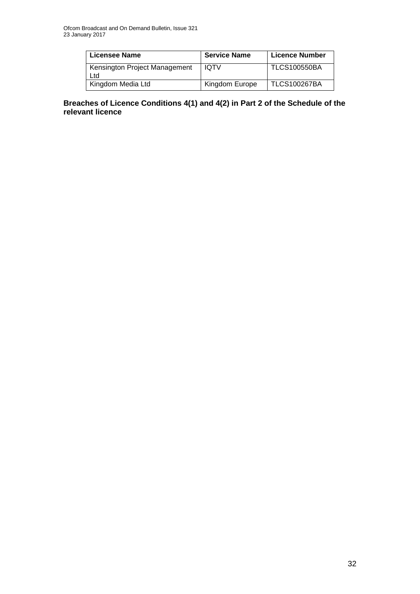| Licensee Name                        | <b>Service Name</b> | <b>Licence Number</b> |
|--------------------------------------|---------------------|-----------------------|
| Kensington Project Management<br>Ltd | <b>IQTV</b>         | <b>TLCS100550BA</b>   |
| Kingdom Media Ltd                    | Kingdom Europe      | <b>TLCS100267BA</b>   |

#### **Breaches of Licence Conditions 4(1) and 4(2) in Part 2 of the Schedule of the relevant licence**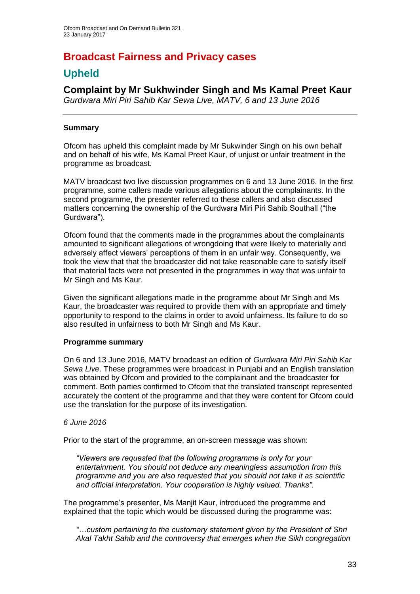## **Broadcast Fairness and Privacy cases**

### **Upheld**

### **Complaint by Mr Sukhwinder Singh and Ms Kamal Preet Kaur**

*Gurdwara Miri Piri Sahib Kar Sewa Live, MATV, 6 and 13 June 2016*

#### **Summary**

Ofcom has upheld this complaint made by Mr Sukwinder Singh on his own behalf and on behalf of his wife, Ms Kamal Preet Kaur, of unjust or unfair treatment in the programme as broadcast.

MATV broadcast two live discussion programmes on 6 and 13 June 2016. In the first programme, some callers made various allegations about the complainants. In the second programme, the presenter referred to these callers and also discussed matters concerning the ownership of the Gurdwara Miri Piri Sahib Southall ("the Gurdwara").

Ofcom found that the comments made in the programmes about the complainants amounted to significant allegations of wrongdoing that were likely to materially and adversely affect viewers' perceptions of them in an unfair way. Consequently, we took the view that that the broadcaster did not take reasonable care to satisfy itself that material facts were not presented in the programmes in way that was unfair to Mr Singh and Ms Kaur.

Given the significant allegations made in the programme about Mr Singh and Ms Kaur, the broadcaster was required to provide them with an appropriate and timely opportunity to respond to the claims in order to avoid unfairness. Its failure to do so also resulted in unfairness to both Mr Singh and Ms Kaur.

#### **Programme summary**

On 6 and 13 June 2016, MATV broadcast an edition of *Gurdwara Miri Piri Sahib Kar Sewa Live*. These programmes were broadcast in Punjabi and an English translation was obtained by Ofcom and provided to the complainant and the broadcaster for comment. Both parties confirmed to Ofcom that the translated transcript represented accurately the content of the programme and that they were content for Ofcom could use the translation for the purpose of its investigation.

#### *6 June 2016*

Prior to the start of the programme, an on-screen message was shown:

*"Viewers are requested that the following programme is only for your entertainment. You should not deduce any meaningless assumption from this programme and you are also requested that you should not take it as scientific and official interpretation. Your cooperation is highly valued. Thanks".*

The programme's presenter, Ms Manjit Kaur, introduced the programme and explained that the topic which would be discussed during the programme was:

*"…custom pertaining to the customary statement given by the President of Shri Akal Takht Sahib and the controversy that emerges when the Sikh congregation*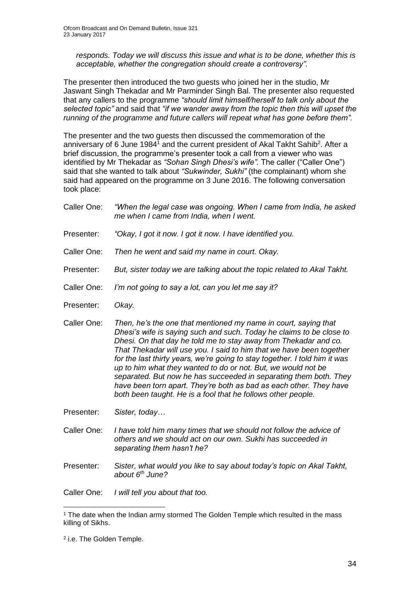*responds. Today we will discuss this issue and what is to be done, whether this is acceptable, whether the congregation should create a controversy".*

The presenter then introduced the two guests who joined her in the studio, Mr Jaswant Singh Thekadar and Mr Parminder Singh Bal. The presenter also requested that any callers to the programme *"should limit himself/herself to talk only about the selected topic"* and said that *"if we wander away from the topic then this will upset the running of the programme and future callers will repeat what has gone before them".* 

The presenter and the two guests then discussed the commemoration of the anniversary of 6 June 1984<sup>1</sup> and the current president of Akal Takht Sahib<sup>2</sup>. After a brief discussion, the programme's presenter took a call from a viewer who was identified by Mr Thekadar as *"Sohan Singh Dhesi's wife".* The caller ("Caller One") said that she wanted to talk about *"Sukwinder, Sukhi"* (the complainant) whom she said had appeared on the programme on 3 June 2016. The following conversation took place:

- Caller One: *"When the legal case was ongoing. When I came from India, he asked me when I came from India, when I went.*
- Presenter: *"Okay, I got it now. I got it now. I have identified you.*
- Caller One: *Then he went and said my name in court. Okay.*
- Presenter: *But, sister today we are talking about the topic related to Akal Takht.*
- Caller One: *I'm not going to say a lot, can you let me say it?*
- Presenter: *Okay.*
- Caller One: *Then, he's the one that mentioned my name in court, saying that Dhesi's wife is saying such and such. Today he claims to be close to Dhesi. On that day he told me to stay away from Thekadar and co. That Thekadar will use you. I said to him that we have been together for the last thirty years, we're going to stay together. I told him it was up to him what they wanted to do or not. But, we would not be separated. But now he has succeeded in separating them both. They have been torn apart. They're both as bad as each other. They have both been taught. He is a fool that he follows other people.*

Presenter: *Sister, today…*

- Caller One: *I have told him many times that we should not follow the advice of others and we should act on our own. Sukhi has succeeded in separating them hasn't he?*
- Presenter: *Sister, what would you like to say about today's topic on Akal Takht, about 6th June?*

Caller One: *I will tell you about that too.* 

<sup>1</sup> <sup>1</sup> The date when the Indian army stormed The Golden Temple which resulted in the mass killing of Sikhs.

<sup>&</sup>lt;sup>2</sup> i.e. The Golden Temple.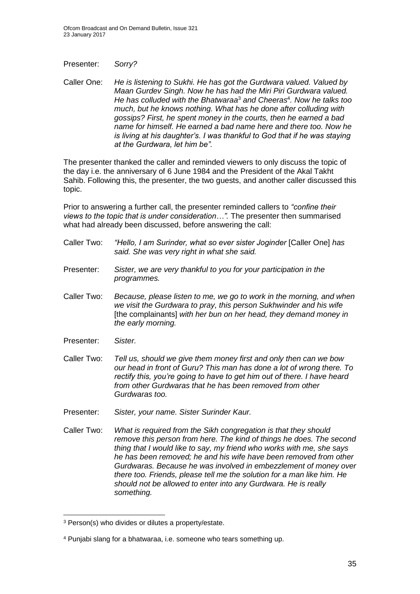Presenter: *Sorry?*

Caller One: *He is listening to Sukhi. He has got the Gurdwara valued. Valued by Maan Gurdev Singh. Now he has had the Miri Piri Gurdwara valued. He has colluded with the Bhatwaraa*<sup>3</sup> *and Cheeras*<sup>4</sup> *. Now he talks too much, but he knows nothing. What has he done after colluding with gossips? First, he spent money in the courts, then he earned a bad name for himself. He earned a bad name here and there too. Now he is living at his daughter's. I was thankful to God that if he was staying at the Gurdwara, let him be".* 

The presenter thanked the caller and reminded viewers to only discuss the topic of the day i.e. the anniversary of 6 June 1984 and the President of the Akal Takht Sahib. Following this, the presenter, the two guests, and another caller discussed this topic.

Prior to answering a further call, the presenter reminded callers to *"confine their views to the topic that is under consideration…".* The presenter then summarised what had already been discussed, before answering the call:

- Caller Two: *"Hello, I am Surinder, what so ever sister Joginder* [Caller One] *has said. She was very right in what she said.*
- Presenter: *Sister, we are very thankful to you for your participation in the programmes.*
- Caller Two: *Because, please listen to me, we go to work in the morning, and when we visit the Gurdwara to pray, this person Sukhwinder and his wife*  [the complainants] *with her bun on her head, they demand money in the early morning.*
- Presenter: *Sister.*
- Caller Two: *Tell us, should we give them money first and only then can we bow our head in front of Guru? This man has done a lot of wrong there. To rectify this, you're going to have to get him out of there. I have heard from other Gurdwaras that he has been removed from other Gurdwaras too.*
- Presenter: *Sister, your name. Sister Surinder Kaur.*
- Caller Two: *What is required from the Sikh congregation is that they should remove this person from here. The kind of things he does. The second thing that I would like to say, my friend who works with me, she says he has been removed; he and his wife have been removed from other Gurdwaras. Because he was involved in embezzlement of money over there too. Friends, please tell me the solution for a man like him. He should not be allowed to enter into any Gurdwara. He is really something.*

<sup>1</sup> <sup>3</sup> Person(s) who divides or dilutes a property/estate.

<sup>4</sup> Punjabi slang for a bhatwaraa, i.e. someone who tears something up.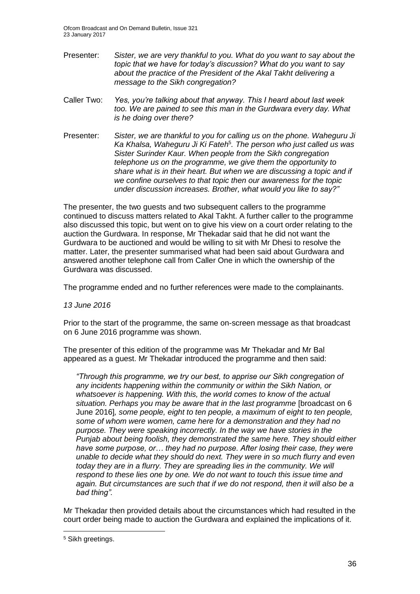Ofcom Broadcast and On Demand Bulletin, Issue 321 23 January 2017

- Presenter: *Sister, we are very thankful to you. What do you want to say about the topic that we have for today's discussion? What do you want to say about the practice of the President of the Akal Takht delivering a message to the Sikh congregation?*
- Caller Two: *Yes, you're talking about that anyway. This I heard about last week too. We are pained to see this man in the Gurdwara every day. What is he doing over there?*
- Presenter: *Sister, we are thankful to you for calling us on the phone. Waheguru Ji*  Ka Khalsa, Waheguru Ji Ki Fateh<sup>5</sup>. The person who just called us was *Sister Surinder Kaur. When people from the Sikh congregation telephone us on the programme, we give them the opportunity to share what is in their heart. But when we are discussing a topic and if we confine ourselves to that topic then our awareness for the topic under discussion increases. Brother, what would you like to say?"*

The presenter, the two guests and two subsequent callers to the programme continued to discuss matters related to Akal Takht. A further caller to the programme also discussed this topic, but went on to give his view on a court order relating to the auction the Gurdwara. In response, Mr Thekadar said that he did not want the Gurdwara to be auctioned and would be willing to sit with Mr Dhesi to resolve the matter. Later, the presenter summarised what had been said about Gurdwara and answered another telephone call from Caller One in which the ownership of the Gurdwara was discussed.

The programme ended and no further references were made to the complainants.

#### *13 June 2016*

Prior to the start of the programme, the same on-screen message as that broadcast on 6 June 2016 programme was shown.

The presenter of this edition of the programme was Mr Thekadar and Mr Bal appeared as a guest. Mr Thekadar introduced the programme and then said:

*"Through this programme, we try our best, to apprise our Sikh congregation of any incidents happening within the community or within the Sikh Nation, or whatsoever is happening. With this, the world comes to know of the actual situation. Perhaps you may be aware that in the last programme* [broadcast on 6 June 2016]*, some people, eight to ten people, a maximum of eight to ten people, some of whom were women, came here for a demonstration and they had no purpose. They were speaking incorrectly. In the way we have stories in the Punjab about being foolish, they demonstrated the same here. They should either have some purpose, or… they had no purpose. After losing their case, they were unable to decide what they should do next. They were in so much flurry and even today they are in a flurry. They are spreading lies in the community. We will respond to these lies one by one. We do not want to touch this issue time and again. But circumstances are such that if we do not respond, then it will also be a bad thing".*

Mr Thekadar then provided details about the circumstances which had resulted in the court order being made to auction the Gurdwara and explained the implications of it.

1

<sup>5</sup> Sikh greetings.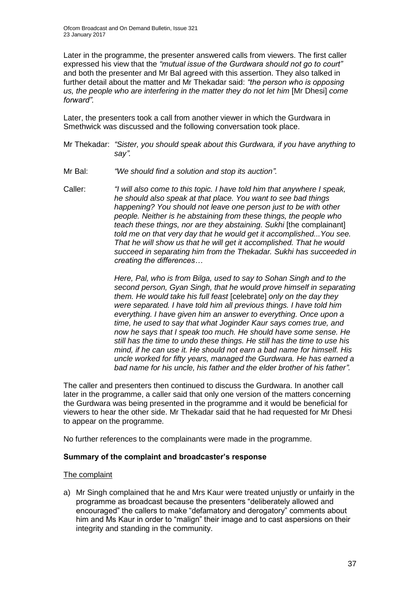Later in the programme, the presenter answered calls from viewers. The first caller expressed his view that the *"mutual issue of the Gurdwara should not go to court"* and both the presenter and Mr Bal agreed with this assertion. They also talked in further detail about the matter and Mr Thekadar said: *"the person who is opposing us, the people who are interfering in the matter they do not let him* [Mr Dhesi] *come forward".* 

Later, the presenters took a call from another viewer in which the Gurdwara in Smethwick was discussed and the following conversation took place.

- Mr Thekadar: *"Sister, you should speak about this Gurdwara, if you have anything to say".*
- Mr Bal: *"We should find a solution and stop its auction".*
- Caller: *"I will also come to this topic. I have told him that anywhere I speak, he should also speak at that place. You want to see bad things happening? You should not leave one person just to be with other people. Neither is he abstaining from these things, the people who teach these things, nor are they abstaining. Sukhi* [the complainant] *told me on that very day that he would get it accomplished...You see. That he will show us that he will get it accomplished. That he would succeed in separating him from the Thekadar. Sukhi has succeeded in creating the differences…*

*Here, Pal, who is from Bilga, used to say to Sohan Singh and to the second person, Gyan Singh, that he would prove himself in separating them. He would take his full feast* [celebrate] *only on the day they were separated. I have told him all previous things. I have told him everything. I have given him an answer to everything. Once upon a time, he used to say that what Joginder Kaur says comes true, and now he says that I speak too much. He should have some sense. He still has the time to undo these things. He still has the time to use his mind, if he can use it. He should not earn a bad name for himself. His uncle worked for fifty years, managed the Gurdwara. He has earned a bad name for his uncle, his father and the elder brother of his father".*

The caller and presenters then continued to discuss the Gurdwara. In another call later in the programme, a caller said that only one version of the matters concerning the Gurdwara was being presented in the programme and it would be beneficial for viewers to hear the other side. Mr Thekadar said that he had requested for Mr Dhesi to appear on the programme.

No further references to the complainants were made in the programme.

#### **Summary of the complaint and broadcaster's response**

#### The complaint

a) Mr Singh complained that he and Mrs Kaur were treated unjustly or unfairly in the programme as broadcast because the presenters "deliberately allowed and encouraged" the callers to make "defamatory and derogatory" comments about him and Ms Kaur in order to "malign" their image and to cast aspersions on their integrity and standing in the community.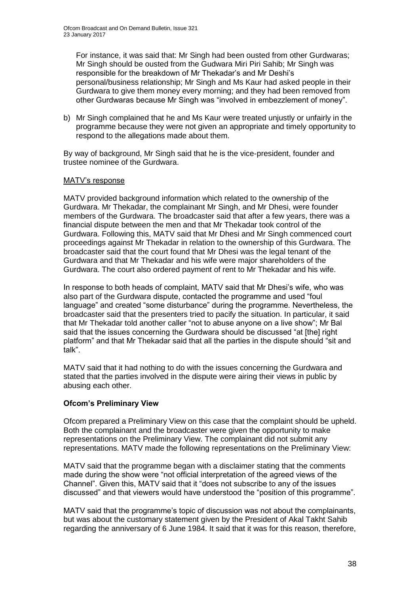For instance, it was said that: Mr Singh had been ousted from other Gurdwaras; Mr Singh should be ousted from the Gudwara Miri Piri Sahib; Mr Singh was responsible for the breakdown of Mr Thekadar's and Mr Deshi's personal/business relationship; Mr Singh and Ms Kaur had asked people in their Gurdwara to give them money every morning; and they had been removed from other Gurdwaras because Mr Singh was "involved in embezzlement of money".

b) Mr Singh complained that he and Ms Kaur were treated unjustly or unfairly in the programme because they were not given an appropriate and timely opportunity to respond to the allegations made about them.

By way of background, Mr Singh said that he is the vice-president, founder and trustee nominee of the Gurdwara.

#### MATV's response

MATV provided background information which related to the ownership of the Gurdwara. Mr Thekadar, the complainant Mr Singh, and Mr Dhesi, were founder members of the Gurdwara. The broadcaster said that after a few years, there was a financial dispute between the men and that Mr Thekadar took control of the Gurdwara. Following this, MATV said that Mr Dhesi and Mr Singh commenced court proceedings against Mr Thekadar in relation to the ownership of this Gurdwara. The broadcaster said that the court found that Mr Dhesi was the legal tenant of the Gurdwara and that Mr Thekadar and his wife were major shareholders of the Gurdwara. The court also ordered payment of rent to Mr Thekadar and his wife.

In response to both heads of complaint, MATV said that Mr Dhesi's wife, who was also part of the Gurdwara dispute, contacted the programme and used "foul language" and created "some disturbance" during the programme. Nevertheless, the broadcaster said that the presenters tried to pacify the situation. In particular, it said that Mr Thekadar told another caller "not to abuse anyone on a live show"; Mr Bal said that the issues concerning the Gurdwara should be discussed "at [the] right platform" and that Mr Thekadar said that all the parties in the dispute should "sit and talk".

MATV said that it had nothing to do with the issues concerning the Gurdwara and stated that the parties involved in the dispute were airing their views in public by abusing each other.

#### **Ofcom's Preliminary View**

Ofcom prepared a Preliminary View on this case that the complaint should be upheld. Both the complainant and the broadcaster were given the opportunity to make representations on the Preliminary View. The complainant did not submit any representations. MATV made the following representations on the Preliminary View:

MATV said that the programme began with a disclaimer stating that the comments made during the show were "not official interpretation of the agreed views of the Channel". Given this, MATV said that it "does not subscribe to any of the issues discussed" and that viewers would have understood the "position of this programme".

MATV said that the programme's topic of discussion was not about the complainants, but was about the customary statement given by the President of Akal Takht Sahib regarding the anniversary of 6 June 1984. It said that it was for this reason, therefore,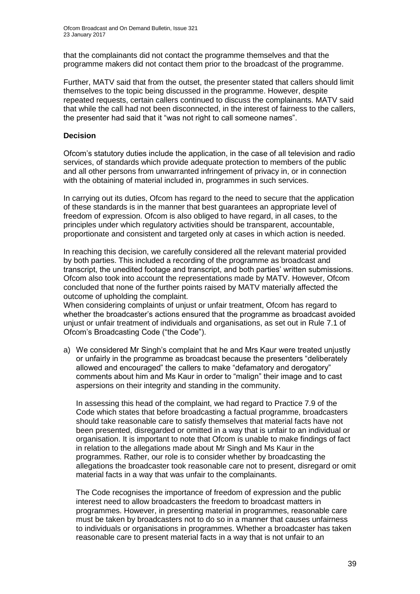that the complainants did not contact the programme themselves and that the programme makers did not contact them prior to the broadcast of the programme.

Further, MATV said that from the outset, the presenter stated that callers should limit themselves to the topic being discussed in the programme. However, despite repeated requests, certain callers continued to discuss the complainants. MATV said that while the call had not been disconnected, in the interest of fairness to the callers, the presenter had said that it "was not right to call someone names".

#### **Decision**

Ofcom's statutory duties include the application, in the case of all television and radio services, of standards which provide adequate protection to members of the public and all other persons from unwarranted infringement of privacy in, or in connection with the obtaining of material included in, programmes in such services.

In carrying out its duties, Ofcom has regard to the need to secure that the application of these standards is in the manner that best guarantees an appropriate level of freedom of expression. Ofcom is also obliged to have regard, in all cases, to the principles under which regulatory activities should be transparent, accountable, proportionate and consistent and targeted only at cases in which action is needed.

In reaching this decision, we carefully considered all the relevant material provided by both parties. This included a recording of the programme as broadcast and transcript, the unedited footage and transcript, and both parties' written submissions. Ofcom also took into account the representations made by MATV. However, Ofcom concluded that none of the further points raised by MATV materially affected the outcome of upholding the complaint.

When considering complaints of unjust or unfair treatment, Ofcom has regard to whether the broadcaster's actions ensured that the programme as broadcast avoided unjust or unfair treatment of individuals and organisations, as set out in Rule 7.1 of Ofcom's Broadcasting Code ("the Code").

a) We considered Mr Singh's complaint that he and Mrs Kaur were treated unjustly or unfairly in the programme as broadcast because the presenters "deliberately allowed and encouraged" the callers to make "defamatory and derogatory" comments about him and Ms Kaur in order to "malign" their image and to cast aspersions on their integrity and standing in the community.

In assessing this head of the complaint, we had regard to Practice 7.9 of the Code which states that before broadcasting a factual programme, broadcasters should take reasonable care to satisfy themselves that material facts have not been presented, disregarded or omitted in a way that is unfair to an individual or organisation. It is important to note that Ofcom is unable to make findings of fact in relation to the allegations made about Mr Singh and Ms Kaur in the programmes. Rather, our role is to consider whether by broadcasting the allegations the broadcaster took reasonable care not to present, disregard or omit material facts in a way that was unfair to the complainants.

The Code recognises the importance of freedom of expression and the public interest need to allow broadcasters the freedom to broadcast matters in programmes. However, in presenting material in programmes, reasonable care must be taken by broadcasters not to do so in a manner that causes unfairness to individuals or organisations in programmes. Whether a broadcaster has taken reasonable care to present material facts in a way that is not unfair to an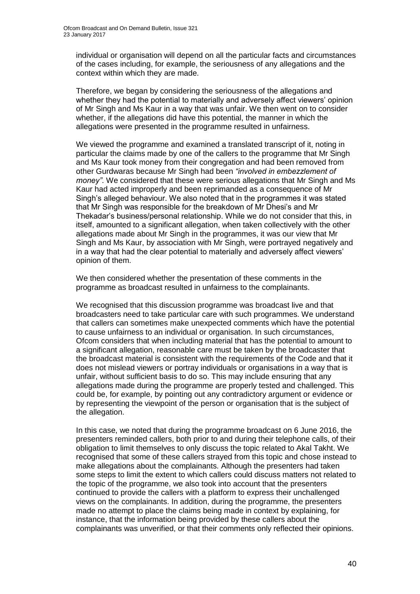individual or organisation will depend on all the particular facts and circumstances of the cases including, for example, the seriousness of any allegations and the context within which they are made.

Therefore, we began by considering the seriousness of the allegations and whether they had the potential to materially and adversely affect viewers' opinion of Mr Singh and Ms Kaur in a way that was unfair. We then went on to consider whether, if the allegations did have this potential, the manner in which the allegations were presented in the programme resulted in unfairness.

We viewed the programme and examined a translated transcript of it, noting in particular the claims made by one of the callers to the programme that Mr Singh and Ms Kaur took money from their congregation and had been removed from other Gurdwaras because Mr Singh had been *"involved in embezzlement of money"*. We considered that these were serious allegations that Mr Singh and Ms Kaur had acted improperly and been reprimanded as a consequence of Mr Singh's alleged behaviour. We also noted that in the programmes it was stated that Mr Singh was responsible for the breakdown of Mr Dhesi's and Mr Thekadar's business/personal relationship. While we do not consider that this, in itself, amounted to a significant allegation, when taken collectively with the other allegations made about Mr Singh in the programmes, it was our view that Mr Singh and Ms Kaur, by association with Mr Singh, were portrayed negatively and in a way that had the clear potential to materially and adversely affect viewers' opinion of them.

We then considered whether the presentation of these comments in the programme as broadcast resulted in unfairness to the complainants.

We recognised that this discussion programme was broadcast live and that broadcasters need to take particular care with such programmes. We understand that callers can sometimes make unexpected comments which have the potential to cause unfairness to an individual or organisation. In such circumstances, Ofcom considers that when including material that has the potential to amount to a significant allegation, reasonable care must be taken by the broadcaster that the broadcast material is consistent with the requirements of the Code and that it does not mislead viewers or portray individuals or organisations in a way that is unfair, without sufficient basis to do so. This may include ensuring that any allegations made during the programme are properly tested and challenged. This could be, for example, by pointing out any contradictory argument or evidence or by representing the viewpoint of the person or organisation that is the subject of the allegation.

In this case, we noted that during the programme broadcast on 6 June 2016, the presenters reminded callers, both prior to and during their telephone calls, of their obligation to limit themselves to only discuss the topic related to Akal Takht. We recognised that some of these callers strayed from this topic and chose instead to make allegations about the complainants. Although the presenters had taken some steps to limit the extent to which callers could discuss matters not related to the topic of the programme, we also took into account that the presenters continued to provide the callers with a platform to express their unchallenged views on the complainants. In addition, during the programme, the presenters made no attempt to place the claims being made in context by explaining, for instance, that the information being provided by these callers about the complainants was unverified, or that their comments only reflected their opinions.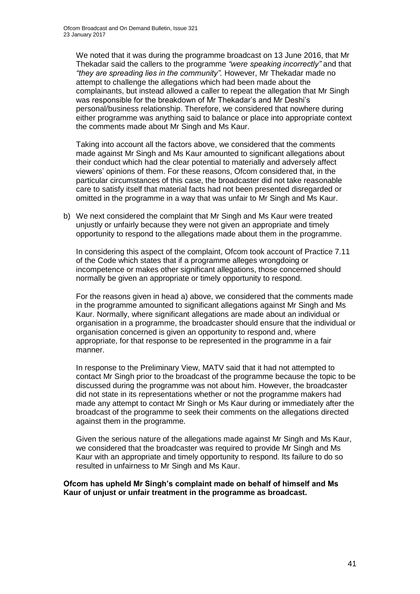We noted that it was during the programme broadcast on 13 June 2016, that Mr Thekadar said the callers to the programme *"were speaking incorrectly"* and that *"they are spreading lies in the community".* However, Mr Thekadar made no attempt to challenge the allegations which had been made about the complainants, but instead allowed a caller to repeat the allegation that Mr Singh was responsible for the breakdown of Mr Thekadar's and Mr Deshi's personal/business relationship. Therefore, we considered that nowhere during either programme was anything said to balance or place into appropriate context the comments made about Mr Singh and Ms Kaur.

Taking into account all the factors above, we considered that the comments made against Mr Singh and Ms Kaur amounted to significant allegations about their conduct which had the clear potential to materially and adversely affect viewers' opinions of them. For these reasons, Ofcom considered that, in the particular circumstances of this case, the broadcaster did not take reasonable care to satisfy itself that material facts had not been presented disregarded or omitted in the programme in a way that was unfair to Mr Singh and Ms Kaur.

b) We next considered the complaint that Mr Singh and Ms Kaur were treated unjustly or unfairly because they were not given an appropriate and timely opportunity to respond to the allegations made about them in the programme.

In considering this aspect of the complaint, Ofcom took account of Practice 7.11 of the Code which states that if a programme alleges wrongdoing or incompetence or makes other significant allegations, those concerned should normally be given an appropriate or timely opportunity to respond.

For the reasons given in head a) above, we considered that the comments made in the programme amounted to significant allegations against Mr Singh and Ms Kaur. Normally, where significant allegations are made about an individual or organisation in a programme, the broadcaster should ensure that the individual or organisation concerned is given an opportunity to respond and, where appropriate, for that response to be represented in the programme in a fair manner.

In response to the Preliminary View, MATV said that it had not attempted to contact Mr Singh prior to the broadcast of the programme because the topic to be discussed during the programme was not about him. However, the broadcaster did not state in its representations whether or not the programme makers had made any attempt to contact Mr Singh or Ms Kaur during or immediately after the broadcast of the programme to seek their comments on the allegations directed against them in the programme.

Given the serious nature of the allegations made against Mr Singh and Ms Kaur, we considered that the broadcaster was required to provide Mr Singh and Ms Kaur with an appropriate and timely opportunity to respond. Its failure to do so resulted in unfairness to Mr Singh and Ms Kaur.

#### **Ofcom has upheld Mr Singh's complaint made on behalf of himself and Ms Kaur of unjust or unfair treatment in the programme as broadcast.**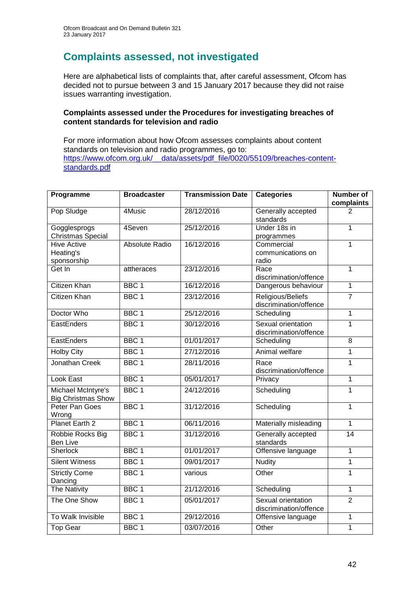## **Complaints assessed, not investigated**

Here are alphabetical lists of complaints that, after careful assessment, Ofcom has decided not to pursue between 3 and 15 January 2017 because they did not raise issues warranting investigation.

#### **Complaints assessed under the Procedures for investigating breaches of content standards for television and radio**

For more information about how Ofcom assesses complaints about content standards on television and radio programmes, go to: [https://www.ofcom.org.uk/\\_\\_data/assets/pdf\\_file/0020/55109/breaches-content](https://www.ofcom.org.uk/__data/assets/pdf_file/0020/55109/breaches-content-standards.pdf)[standards.pdf](https://www.ofcom.org.uk/__data/assets/pdf_file/0020/55109/breaches-content-standards.pdf)

| Programme                                       | <b>Broadcaster</b>    | <b>Transmission Date</b> | <b>Categories</b>                            | <b>Number of</b><br>complaints |
|-------------------------------------------------|-----------------------|--------------------------|----------------------------------------------|--------------------------------|
| Pop Sludge                                      | $\overline{4M}$ usic  | 28/12/2016               | Generally accepted<br>standards              | 2                              |
| Gogglesprogs<br><b>Christmas Special</b>        | 4Seven                | 25/12/2016               | Under 18s in<br>programmes                   | 1                              |
| <b>Hive Active</b><br>Heating's<br>sponsorship  | <b>Absolute Radio</b> | 16/12/2016               | Commercial<br>communications on<br>radio     | $\mathbf{1}$                   |
| Get In                                          | attheraces            | 23/12/2016               | Race<br>discrimination/offence               | $\overline{1}$                 |
| <b>Citizen Khan</b>                             | BBC <sub>1</sub>      | 16/12/2016               | Dangerous behaviour                          | $\overline{1}$                 |
| <b>Citizen Khan</b>                             | BBC <sub>1</sub>      | 23/12/2016               | Religious/Beliefs<br>discrimination/offence  | $\overline{7}$                 |
| Doctor Who                                      | BBC <sub>1</sub>      | 25/12/2016               | Scheduling                                   | $\overline{1}$                 |
| EastEnders                                      | BBC <sub>1</sub>      | 30/12/2016               | Sexual orientation<br>discrimination/offence | $\overline{1}$                 |
| EastEnders                                      | BBC <sub>1</sub>      | 01/01/2017               | Scheduling                                   | 8                              |
| <b>Holby City</b>                               | BBC <sub>1</sub>      | 27/12/2016               | Animal welfare                               | $\mathbf{1}$                   |
| Jonathan Creek                                  | BBC <sub>1</sub>      | 28/11/2016               | Race<br>discrimination/offence               | $\mathbf{1}$                   |
| Look East                                       | BBC <sub>1</sub>      | 05/01/2017               | Privacy                                      | $\mathbf{1}$                   |
| Michael McIntyre's<br><b>Big Christmas Show</b> | BBC <sub>1</sub>      | 24/12/2016               | Scheduling                                   | $\mathbf{1}$                   |
| Peter Pan Goes<br>Wrong                         | BBC <sub>1</sub>      | 31/12/2016               | Scheduling                                   | 1                              |
| Planet Earth 2                                  | BBC <sub>1</sub>      | 06/11/2016               | Materially misleading                        | $\overline{1}$                 |
| Robbie Rocks Big<br><b>Ben Live</b>             | BBC <sub>1</sub>      | 31/12/2016               | Generally accepted<br>standards              | $\overline{14}$                |
| <b>Sherlock</b>                                 | BBC <sub>1</sub>      | 01/01/2017               | Offensive language                           | $\mathbf{1}$                   |
| <b>Silent Witness</b>                           | BBC <sub>1</sub>      | 09/01/2017               | <b>Nudity</b>                                | $\mathbf 1$                    |
| <b>Strictly Come</b><br>Dancing                 | BBC <sub>1</sub>      | various                  | Other                                        | $\overline{1}$                 |
| <b>The Nativity</b>                             | BBC <sub>1</sub>      | 21/12/2016               | Scheduling                                   | $\mathbf{1}$                   |
| The One Show                                    | BBC <sub>1</sub>      | 05/01/2017               | Sexual orientation<br>discrimination/offence | $\overline{2}$                 |
| To Walk Invisible                               | BBC 1                 | 29/12/2016               | Offensive language                           | $\mathbf 1$                    |
| Top Gear                                        | BBC <sub>1</sub>      | 03/07/2016               | Other                                        | $\overline{1}$                 |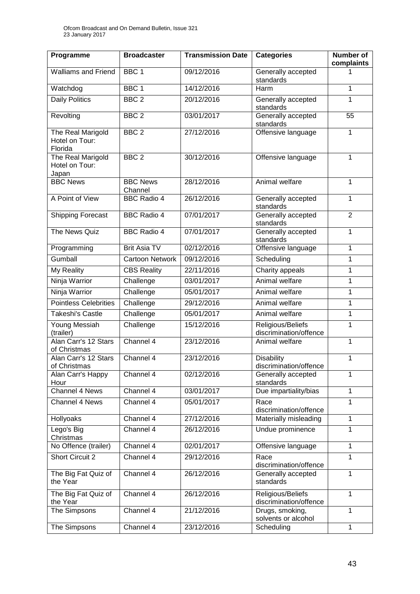| Programme                                      | <b>Broadcaster</b>         | <b>Transmission Date</b> | <b>Categories</b>                           | <b>Number of</b><br>complaints |
|------------------------------------------------|----------------------------|--------------------------|---------------------------------------------|--------------------------------|
| <b>Walliams and Friend</b>                     | BBC <sub>1</sub>           | 09/12/2016               | Generally accepted<br>standards             | 1                              |
| Watchdog                                       | BBC <sub>1</sub>           | 14/12/2016               | Harm                                        | 1                              |
| <b>Daily Politics</b>                          | BBC <sub>2</sub>           | 20/12/2016               | Generally accepted<br>standards             | 1                              |
| Revolting                                      | BBC <sub>2</sub>           | 03/01/2017               | Generally accepted<br>standards             | 55                             |
| The Real Marigold<br>Hotel on Tour:<br>Florida | BBC <sub>2</sub>           | 27/12/2016               | Offensive language                          | 1                              |
| The Real Marigold<br>Hotel on Tour:<br>Japan   | BBC <sub>2</sub>           | 30/12/2016               | Offensive language                          | $\mathbf{1}$                   |
| <b>BBC News</b>                                | <b>BBC News</b><br>Channel | 28/12/2016               | Animal welfare                              | $\mathbf{1}$                   |
| A Point of View                                | <b>BBC Radio 4</b>         | 26/12/2016               | Generally accepted<br>standards             | $\mathbf{1}$                   |
| Shipping Forecast                              | <b>BBC Radio 4</b>         | 07/01/2017               | Generally accepted<br>standards             | $\overline{2}$                 |
| The News Quiz                                  | <b>BBC Radio 4</b>         | 07/01/2017               | Generally accepted<br>standards             | 1                              |
| Programming                                    | <b>Brit Asia TV</b>        | 02/12/2016               | Offensive language                          | 1                              |
| Gumball                                        | <b>Cartoon Network</b>     | 09/12/2016               | Scheduling                                  | 1                              |
| My Reality                                     | <b>CBS Reality</b>         | 22/11/2016               | Charity appeals                             | 1                              |
| Ninja Warrior                                  | Challenge                  | 03/01/2017               | Animal welfare                              | 1                              |
| Ninja Warrior                                  | Challenge                  | 05/01/2017               | Animal welfare                              | 1                              |
| <b>Pointless Celebrities</b>                   | Challenge                  | 29/12/2016               | Animal welfare                              | 1                              |
| <b>Takeshi's Castle</b>                        | Challenge                  | 05/01/2017               | Animal welfare                              | $\mathbf{1}$                   |
| Young Messiah<br>(trailer)                     | Challenge                  | 15/12/2016               | Religious/Beliefs<br>discrimination/offence | 1                              |
| Alan Carr's 12 Stars<br>of Christmas           | Channel 4                  | 23/12/2016               | Animal welfare                              | 1                              |
| Alan Carr's 12 Stars<br>of Christmas           | Channel 4                  | 23/12/2016               | <b>Disability</b><br>discrimination/offence | 1                              |
| Alan Carr's Happy<br>Hour                      | Channel 4                  | 02/12/2016               | Generally accepted<br>standards             | 1                              |
| Channel 4 News                                 | Channel 4                  | 03/01/2017               | Due impartiality/bias                       | $\mathbf{1}$                   |
| Channel 4 News                                 | Channel 4                  | 05/01/2017               | Race<br>discrimination/offence              | $\mathbf{1}$                   |
| Hollyoaks                                      | Channel 4                  | 27/12/2016               | Materially misleading                       | $\mathbf{1}$                   |
| Lego's Big<br>Christmas                        | Channel 4                  | 26/12/2016               | Undue prominence                            | 1                              |
| No Offence (trailer)                           | Channel 4                  | 02/01/2017               | Offensive language                          | $\mathbf{1}$                   |
| <b>Short Circuit 2</b>                         | Channel 4                  | 29/12/2016               | Race<br>discrimination/offence              | $\mathbf{1}$                   |
| The Big Fat Quiz of<br>the Year                | Channel 4                  | 26/12/2016               | Generally accepted<br>standards             | $\mathbf{1}$                   |
| The Big Fat Quiz of<br>the Year                | Channel 4                  | 26/12/2016               | Religious/Beliefs<br>discrimination/offence | $\mathbf{1}$                   |
| The Simpsons                                   | Channel 4                  | 21/12/2016               | Drugs, smoking,<br>solvents or alcohol      | 1                              |
| The Simpsons                                   | Channel 4                  | 23/12/2016               | Scheduling                                  | 1                              |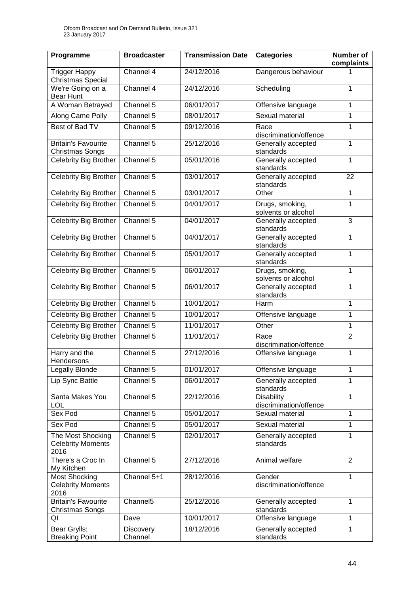| Programme                                                | <b>Broadcaster</b>          | <b>Transmission Date</b> | <b>Categories</b>                           | <b>Number of</b><br>complaints |
|----------------------------------------------------------|-----------------------------|--------------------------|---------------------------------------------|--------------------------------|
| <b>Trigger Happy</b><br>Christmas Special                | Channel $4$                 | 24/12/2016               | Dangerous behaviour                         | 1                              |
| We're Going on a<br><b>Bear Hunt</b>                     | Channel 4                   | 24/12/2016               | Scheduling                                  | 1                              |
| A Woman Betrayed                                         | Channel 5                   | 06/01/2017               | Offensive language                          | $\mathbf{1}$                   |
| Along Came Polly                                         | Channel 5                   | 08/01/2017               | Sexual material                             | 1                              |
| Best of Bad TV                                           | Channel 5                   | 09/12/2016               | Race<br>discrimination/offence              | 1                              |
| <b>Britain's Favourite</b><br><b>Christmas Songs</b>     | Channel 5                   | 25/12/2016               | Generally accepted<br>standards             | $\mathbf{1}$                   |
| Celebrity Big Brother                                    | Channel 5                   | 05/01/2016               | Generally accepted<br>standards             | 1                              |
| <b>Celebrity Big Brother</b>                             | Channel 5                   | 03/01/2017               | Generally accepted<br>standards             | 22                             |
| Celebrity Big Brother                                    | Channel 5                   | 03/01/2017               | Other                                       | 1                              |
| Celebrity Big Brother                                    | Channel 5                   | 04/01/2017               | Drugs, smoking,<br>solvents or alcohol      | $\overline{1}$                 |
| Celebrity Big Brother                                    | Channel 5                   | 04/01/2017               | Generally accepted<br>standards             | 3                              |
| Celebrity Big Brother                                    | Channel 5                   | 04/01/2017               | Generally accepted<br>standards             | $\mathbf{1}$                   |
| Celebrity Big Brother                                    | Channel 5                   | 05/01/2017               | Generally accepted<br>standards             | $\mathbf{1}$                   |
| <b>Celebrity Big Brother</b>                             | Channel 5                   | 06/01/2017               | Drugs, smoking,<br>solvents or alcohol      | $\mathbf{1}$                   |
| Celebrity Big Brother                                    | Channel 5                   | 06/01/2017               | Generally accepted<br>standards             | 1                              |
| Celebrity Big Brother                                    | Channel 5                   | 10/01/2017               | Harm                                        | $\mathbf{1}$                   |
| Celebrity Big Brother                                    | Channel 5                   | 10/01/2017               | Offensive language                          | 1                              |
| Celebrity Big Brother                                    | Channel 5                   | 11/01/2017               | Other                                       | $\mathbf{1}$                   |
| <b>Celebrity Big Brother</b>                             | Channel 5                   | 11/01/2017               | Race<br>discrimination/offence              | $\overline{2}$                 |
| Harry and the<br>Hendersons                              | Channel 5                   | 27/12/2016               | Offensive language                          | 1                              |
| <b>Legally Blonde</b>                                    | Channel 5                   | 01/01/2017               | Offensive language                          | 1                              |
| Lip Sync Battle                                          | Channel 5                   | 06/01/2017               | Generally accepted<br>standards             | 1                              |
| Santa Makes You<br><b>LOL</b>                            | Channel $\overline{5}$      | 22/12/2016               | <b>Disability</b><br>discrimination/offence | 1                              |
| Sex Pod                                                  | Channel 5                   | 05/01/2017               | Sexual material                             | $\mathbf{1}$                   |
| Sex Pod                                                  | Channel 5                   | 05/01/2017               | Sexual material                             | $\mathbf{1}$                   |
| The Most Shocking<br><b>Celebrity Moments</b><br>2016    | Channel 5                   | 02/01/2017               | Generally accepted<br>standards             | 1                              |
| There's a Croc In<br>My Kitchen                          | Channel 5                   | 27/12/2016               | Animal welfare                              | $\overline{2}$                 |
| <b>Most Shocking</b><br><b>Celebrity Moments</b><br>2016 | Channel 5+1                 | 28/12/2016               | Gender<br>discrimination/offence            | 1                              |
| <b>Britain's Favourite</b><br><b>Christmas Songs</b>     | Channel <sub>5</sub>        | 25/12/2016               | Generally accepted<br>standards             | 1                              |
| QI                                                       | Dave                        | 10/01/2017               | Offensive language                          | 1                              |
| Bear Grylls:<br><b>Breaking Point</b>                    | <b>Discovery</b><br>Channel | 18/12/2016               | Generally accepted<br>standards             | 1                              |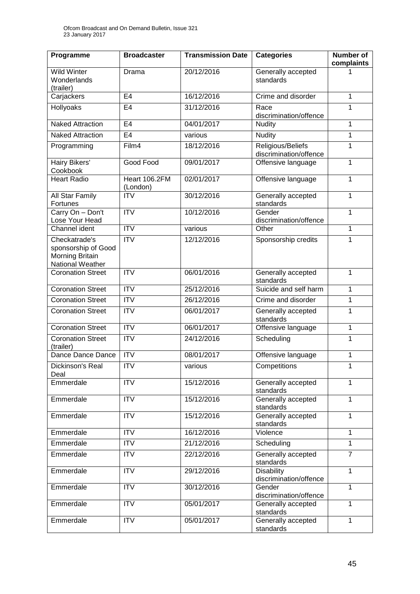| Programme                                                                   | <b>Broadcaster</b>        | <b>Transmission Date</b> | <b>Categories</b>                           | <b>Number of</b><br>complaints |
|-----------------------------------------------------------------------------|---------------------------|--------------------------|---------------------------------------------|--------------------------------|
| <b>Wild Winter</b><br>Wonderlands<br>(trailer)                              | Drama                     | 20/12/2016               | Generally accepted<br>standards             | 1                              |
| Carjackers                                                                  | E4                        | 16/12/2016               | Crime and disorder                          | 1                              |
| Hollyoaks                                                                   | E <sub>4</sub>            | 31/12/2016               | Race<br>discrimination/offence              | 1                              |
| <b>Naked Attraction</b>                                                     | E <sub>4</sub>            | 04/01/2017               | <b>Nudity</b>                               | $\mathbf{1}$                   |
| <b>Naked Attraction</b>                                                     | E <sub>4</sub>            | various                  | <b>Nudity</b>                               | 1                              |
| Programming                                                                 | Film4                     | 18/12/2016               | Religious/Beliefs<br>discrimination/offence | 1                              |
| Hairy Bikers'<br>Cookbook                                                   | Good Food                 | 09/01/2017               | Offensive language                          | 1                              |
| <b>Heart Radio</b>                                                          | Heart 106.2FM<br>(London) | 02/01/2017               | Offensive language                          | $\mathbf{1}$                   |
| All Star Family<br>Fortunes                                                 | <b>ITV</b>                | 30/12/2016               | Generally accepted<br>standards             | $\mathbf{1}$                   |
| Carry On - Don't<br>Lose Your Head                                          | <b>ITV</b>                | 10/12/2016               | Gender<br>discrimination/offence            | $\mathbf{1}$                   |
| Channel ident                                                               | $\overline{IV}$           | various                  | Other                                       | 1                              |
| Checkatrade's<br>sponsorship of Good<br>Morning Britain<br>National Weather | <b>ITV</b>                | 12/12/2016               | Sponsorship credits                         | 1                              |
| <b>Coronation Street</b>                                                    | <b>ITV</b>                | 06/01/2016               | Generally accepted<br>standards             | 1                              |
| <b>Coronation Street</b>                                                    | $\overline{IV}$           | 25/12/2016               | Suicide and self harm                       | $\mathbf{1}$                   |
| <b>Coronation Street</b>                                                    | <b>ITV</b>                | 26/12/2016               | Crime and disorder                          | 1                              |
| Coronation Street                                                           | <b>ITV</b>                | 06/01/2017               | Generally accepted<br>standards             | 1                              |
| <b>Coronation Street</b>                                                    | <b>ITV</b>                | 06/01/2017               | Offensive language                          | 1                              |
| <b>Coronation Street</b><br>(trailer)                                       | <b>ITV</b>                | 24/12/2016               | Scheduling                                  | 1                              |
| Dance Dance Dance                                                           | <b>ITV</b>                | 08/01/2017               | Offensive language                          | 1                              |
| Dickinson's Real<br>Deal                                                    | $\overline{\text{IV}}$    | various                  | Competitions                                | 1                              |
| Emmerdale                                                                   | $\overline{IV}$           | 15/12/2016               | Generally accepted<br>standards             | 1                              |
| Emmerdale                                                                   | <b>ITV</b>                | 15/12/2016               | Generally accepted<br>standards             | $\mathbf{1}$                   |
| Emmerdale                                                                   | <b>ITV</b>                | 15/12/2016               | Generally accepted<br>standards             | 1                              |
| Emmerdale                                                                   | <b>ITV</b>                | 16/12/2016               | Violence                                    | $\mathbf{1}$                   |
| Emmerdale                                                                   | <b>ITV</b>                | 21/12/2016               | Scheduling                                  | $\mathbf{1}$                   |
| Emmerdale                                                                   | <b>ITV</b>                | 22/12/2016               | Generally accepted<br>standards             | $\overline{7}$                 |
| Emmerdale                                                                   | <b>ITV</b>                | 29/12/2016               | <b>Disability</b><br>discrimination/offence | $\mathbf{1}$                   |
| Emmerdale                                                                   | <b>ITV</b>                | 30/12/2016               | Gender<br>discrimination/offence            | $\overline{1}$                 |
| Emmerdale                                                                   | <b>ITV</b>                | 05/01/2017               | Generally accepted<br>standards             | $\mathbf{1}$                   |
| Emmerdale                                                                   | <b>ITV</b>                | 05/01/2017               | Generally accepted<br>standards             | $\mathbf{1}$                   |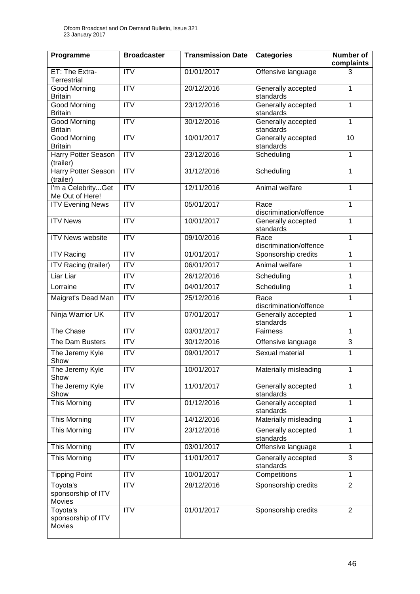| Programme                                       | <b>Broadcaster</b> | <b>Transmission Date</b> | <b>Categories</b>               | <b>Number of</b><br>complaints |
|-------------------------------------------------|--------------------|--------------------------|---------------------------------|--------------------------------|
| ET: The Extra-<br><b>Terrestrial</b>            | <b>ITV</b>         | 01/01/2017               | Offensive language              | 3                              |
| <b>Good Morning</b><br><b>Britain</b>           | <b>ITV</b>         | 20/12/2016               | Generally accepted<br>standards | 1                              |
| <b>Good Morning</b><br><b>Britain</b>           | $\overline{ITV}$   | 23/12/2016               | Generally accepted<br>standards | 1                              |
| <b>Good Morning</b><br><b>Britain</b>           | <b>ITV</b>         | 30/12/2016               | Generally accepted<br>standards | 1                              |
| <b>Good Morning</b><br><b>Britain</b>           | $\overline{ITV}$   | 10/01/2017               | Generally accepted<br>standards | 10                             |
| <b>Harry Potter Season</b><br>(trailer)         | ITV                | 23/12/2016               | Scheduling                      | 1                              |
| <b>Harry Potter Season</b><br>(trailer)         | ITV                | 31/12/2016               | Scheduling                      | 1                              |
| I'm a CelebrityGet<br>Me Out of Here!           | $\overline{ITV}$   | 12/11/2016               | Animal welfare                  | $\mathbf{1}$                   |
| <b>ITV Evening News</b>                         | <b>ITV</b>         | 05/01/2017               | Race<br>discrimination/offence  | 1                              |
| <b>ITV News</b>                                 | $\overline{ITV}$   | 10/01/2017               | Generally accepted<br>standards | $\overline{1}$                 |
| <b>ITV News website</b>                         | <b>ITV</b>         | 09/10/2016               | Race<br>discrimination/offence  | $\mathbf{1}$                   |
| <b>ITV Racing</b>                               | <b>ITV</b>         | 01/01/2017               | Sponsorship credits             | 1                              |
| <b>ITV Racing (trailer)</b>                     | <b>ITV</b>         | 06/01/2017               | Animal welfare                  | 1                              |
| Liar Liar                                       | $\overline{IV}$    | 26/12/2016               | Scheduling                      | $\mathbf{1}$                   |
| Lorraine                                        | <b>ITV</b>         | 04/01/2017               | Scheduling                      | 1                              |
| Maigret's Dead Man                              | <b>ITV</b>         | 25/12/2016               | Race<br>discrimination/offence  | 1                              |
| Ninja Warrior UK                                | $\overline{ITV}$   | 07/01/2017               | Generally accepted<br>standards | 1                              |
| The Chase                                       | $\overline{IV}$    | 03/01/2017               | <b>Fairness</b>                 | $\mathbf{1}$                   |
| The Dam Busters                                 | <b>ITV</b>         | 30/12/2016               | Offensive language              | 3                              |
| The Jeremy Kyle<br>Show                         | <b>ITV</b>         | 09/01/2017               | Sexual material                 | 1                              |
| The Jeremy Kyle<br>Show                         | <b>ITV</b>         | 10/01/2017               | Materially misleading           | 1                              |
| The Jeremy Kyle<br>Show                         | ITV                | 11/01/2017               | Generally accepted<br>standards | $\overline{1}$                 |
| This Morning                                    | <b>ITV</b>         | 01/12/2016               | Generally accepted<br>standards | $\overline{1}$                 |
| This Morning                                    | <b>ITV</b>         | 14/12/2016               | Materially misleading           | $\mathbf{1}$                   |
| This Morning                                    | <b>ITV</b>         | 23/12/2016               | Generally accepted<br>standards | 1                              |
| This Morning                                    | <b>ITV</b>         | 03/01/2017               | Offensive language              | $\mathbf{1}$                   |
| <b>This Morning</b>                             | <b>ITV</b>         | 11/01/2017               | Generally accepted<br>standards | 3                              |
| <b>Tipping Point</b>                            | <b>ITV</b>         | 10/01/2017               | Competitions                    | $\mathbf{1}$                   |
| Toyota's<br>sponsorship of ITV<br>Movies        | <b>ITV</b>         | 28/12/2016               | Sponsorship credits             | $\overline{2}$                 |
| Toyota's<br>sponsorship of ITV<br><b>Movies</b> | <b>ITV</b>         | 01/01/2017               | Sponsorship credits             | $\overline{2}$                 |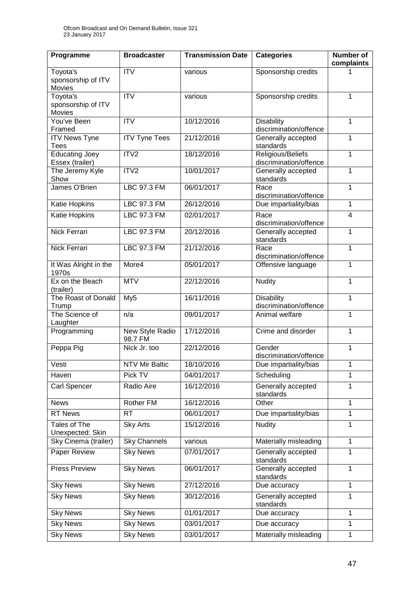| Programme                                       | <b>Broadcaster</b>         | <b>Transmission Date</b> | <b>Categories</b>                           | <b>Number of</b><br>complaints |
|-------------------------------------------------|----------------------------|--------------------------|---------------------------------------------|--------------------------------|
| Toyota's<br>sponsorship of ITV<br><b>Movies</b> | <b>ITV</b>                 | various                  | Sponsorship credits                         |                                |
| Toyota's<br>sponsorship of ITV<br>Movies        | $\overline{IV}$            | various                  | Sponsorship credits                         | 1                              |
| You've Been<br>Framed                           | <b>ITV</b>                 | 10/12/2016               | <b>Disability</b><br>discrimination/offence | 1                              |
| <b>ITV News Tyne</b><br><b>Tees</b>             | <b>ITV Tyne Tees</b>       | 21/12/2016               | Generally accepted<br>standards             | $\mathbf{1}$                   |
| <b>Educating Joey</b><br>Essex (trailer)        | ITV2                       | 18/12/2016               | Religious/Beliefs<br>discrimination/offence | $\mathbf{1}$                   |
| The Jeremy Kyle<br>Show                         | ITV <sub>2</sub>           | 10/01/2017               | Generally accepted<br>standards             | $\mathbf{1}$                   |
| James O'Brien                                   | <b>LBC 97.3 FM</b>         | 06/01/2017               | Race<br>discrimination/offence              | $\overline{1}$                 |
| Katie Hopkins                                   | <b>LBC 97.3 FM</b>         | 26/12/2016               | Due impartiality/bias                       | $\mathbf{1}$                   |
| Katie Hopkins                                   | <b>LBC 97.3 FM</b>         | 02/01/2017               | Race<br>discrimination/offence              | $\overline{\mathbf{4}}$        |
| <b>Nick Ferrari</b>                             | LBC 97.3 FM                | 20/12/2016               | Generally accepted<br>standards             | 1                              |
| Nick Ferrari                                    | <b>LBC 97.3 FM</b>         | 21/12/2016               | Race<br>discrimination/offence              | 1                              |
| It Was Alright in the<br>1970s                  | More4                      | 05/01/2017               | Offensive language                          | 1                              |
| Ex on the Beach<br>(trailer)                    | <b>MTV</b>                 | 22/12/2016               | <b>Nudity</b>                               | 1                              |
| The Roast of Donald<br>Trump                    | My <sub>5</sub>            | 16/11/2016               | <b>Disability</b><br>discrimination/offence | $\mathbf{1}$                   |
| The Science of<br>Laughter                      | n/a                        | 09/01/2017               | Animal welfare                              | $\mathbf{1}$                   |
| Programming                                     | New Style Radio<br>98.7 FM | 17/12/2016               | Crime and disorder                          | 1                              |
| Peppa Pig                                       | Nick Jr. too               | 22/12/2016               | Gender<br>discrimination/offence            | $\mathbf{1}$                   |
| Vesti                                           | <b>NTV Mir Baltic</b>      | 18/10/2016               | Due impartiality/bias                       | $\mathbf{1}$                   |
| Haven                                           | Pick TV                    | 04/01/2017               | Scheduling                                  | 1                              |
| Carl Spencer                                    | Radio Aire                 | 16/12/2016               | Generally accepted<br>standards             | 1                              |
| <b>News</b>                                     | Rother FM                  | 16/12/2016               | Other                                       | $\mathbf{1}$                   |
| <b>RT News</b>                                  | <b>RT</b>                  | 06/01/2017               | Due impartiality/bias                       | 1                              |
| Tales of The<br>Unexpected: Skin                | <b>Sky Arts</b>            | 15/12/2016               | <b>Nudity</b>                               | $\mathbf{1}$                   |
| Sky Cinema (trailer)                            | <b>Sky Channels</b>        | various                  | Materially misleading                       | 1                              |
| Paper Review                                    | <b>Sky News</b>            | 07/01/2017               | Generally accepted<br>standards             | $\mathbf{1}$                   |
| Press Preview                                   | <b>Sky News</b>            | 06/01/2017               | Generally accepted<br>standards             | 1                              |
| <b>Sky News</b>                                 | <b>Sky News</b>            | 27/12/2016               | Due accuracy                                | $\mathbf{1}$                   |
| <b>Sky News</b>                                 | <b>Sky News</b>            | 30/12/2016               | Generally accepted<br>standards             | $\mathbf{1}$                   |
| <b>Sky News</b>                                 | <b>Sky News</b>            | 01/01/2017               | Due accuracy                                | $\mathbf{1}$                   |
| <b>Sky News</b>                                 | <b>Sky News</b>            | 03/01/2017               | Due accuracy                                | $\mathbf{1}$                   |
| <b>Sky News</b>                                 | <b>Sky News</b>            | 03/01/2017               | Materially misleading                       | $\mathbf{1}$                   |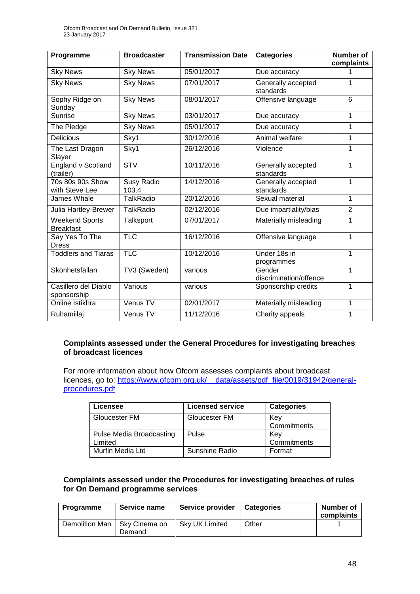| Programme                                 | <b>Broadcaster</b>  | <b>Transmission Date</b> | <b>Categories</b>                | <b>Number of</b><br>complaints |
|-------------------------------------------|---------------------|--------------------------|----------------------------------|--------------------------------|
| <b>Sky News</b>                           | <b>Sky News</b>     | 05/01/2017               | Due accuracy                     | 1                              |
| <b>Sky News</b>                           | <b>Sky News</b>     | 07/01/2017               | Generally accepted<br>standards  | 1                              |
| Sophy Ridge on<br>Sunday                  | <b>Sky News</b>     | 08/01/2017               | Offensive language               | 6                              |
| Sunrise                                   | <b>Sky News</b>     | 03/01/2017               | Due accuracy                     | 1                              |
| The Pledge                                | <b>Sky News</b>     | 05/01/2017               | Due accuracy                     | 1                              |
| <b>Delicious</b>                          | Sky1                | 30/12/2016               | Animal welfare                   | 1                              |
| The Last Dragon<br>Slayer                 | Sky1                | 26/12/2016               | Violence                         | 1                              |
| <b>England v Scotland</b><br>(trailer)    | STV                 | 10/11/2016               | Generally accepted<br>standards  | 1                              |
| 70s 80s 90s Show<br>with Steve Lee        | Susy Radio<br>103.4 | 14/12/2016               | Generally accepted<br>standards  | $\overline{1}$                 |
| James Whale                               | <b>TalkRadio</b>    | 20/12/2016               | Sexual material                  | $\mathbf{1}$                   |
| Julia Hartley-Brewer                      | <b>TalkRadio</b>    | 02/12/2016               | Due impartiality/bias            | $\overline{2}$                 |
| <b>Weekend Sports</b><br><b>Breakfast</b> | Talksport           | 07/01/2017               | Materially misleading            | 1                              |
| Say Yes To The<br><b>Dress</b>            | <b>TLC</b>          | 16/12/2016               | Offensive language               | 1                              |
| <b>Toddlers and Tiaras</b>                | <b>TLC</b>          | 10/12/2016               | Under 18s in<br>programmes       | 1                              |
| Skönhetsfällan                            | TV3 (Sweden)        | various                  | Gender<br>discrimination/offence | 1                              |
| Casillero del Diablo<br>sponsorship       | Various             | various                  | Sponsorship credits              | 1                              |
| Online Istikhra                           | Venus TV            | 02/01/2017               | Materially misleading            | 1                              |
| Ruhamiilaj                                | Venus TV            | 11/12/2016               | Charity appeals                  | 1                              |

#### **Complaints assessed under the General Procedures for investigating breaches of broadcast licences**

For more information about how Ofcom assesses complaints about broadcast licences, go to: https://www.ofcom.org.uk/ data/assets/pdf file/0019/31942/general[procedures.pdf](https://www.ofcom.org.uk/__data/assets/pdf_file/0019/31942/general-procedures.pdf)

| Licensee                 | <b>Licensed service</b> | <b>Categories</b> |
|--------------------------|-------------------------|-------------------|
| Gloucester FM            | <b>Gloucester FM</b>    | Key               |
|                          |                         | Commitments       |
| Pulse Media Broadcasting | Pulse                   | Kev               |
| Limited                  |                         | Commitments       |
| Murfin Media Ltd         | <b>Sunshine Radio</b>   | Format            |

#### **Complaints assessed under the Procedures for investigating breaches of rules for On Demand programme services**

| Programme      | Service name            | Service provider | <b>Categories</b> | Number of<br>complaints |
|----------------|-------------------------|------------------|-------------------|-------------------------|
| Demolition Man | Sky Cinema on<br>Demand | Sky UK Limited   | Other             |                         |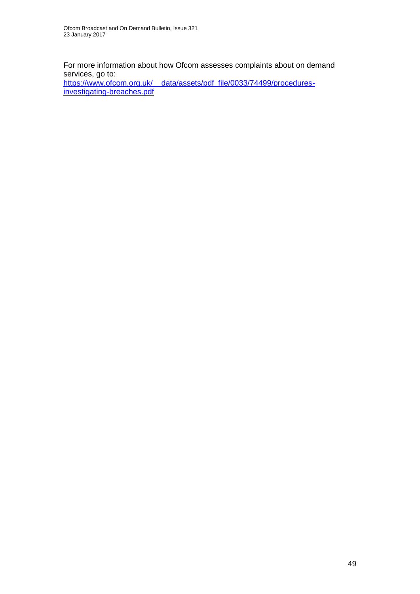For more information about how Ofcom assesses complaints about on demand services, go to:

https://www.ofcom.org.uk/ data/assets/pdf\_file/0033/74499/procedures[investigating-breaches.pdf](https://www.ofcom.org.uk/__data/assets/pdf_file/0033/74499/procedures-investigating-breaches.pdf)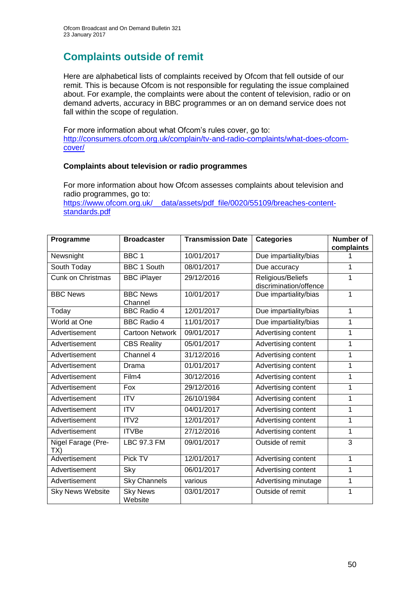## **Complaints outside of remit**

Here are alphabetical lists of complaints received by Ofcom that fell outside of our remit. This is because Ofcom is not responsible for regulating the issue complained about. For example, the complaints were about the content of television, radio or on demand adverts, accuracy in BBC programmes or an on demand service does not fall within the scope of regulation.

For more information about what Ofcom's rules cover, go to: [http://consumers.ofcom.org.uk/complain/tv-and-radio-complaints/what-does-ofcom](http://consumers.ofcom.org.uk/complain/tv-and-radio-complaints/what-does-ofcom-cover/)[cover/](http://consumers.ofcom.org.uk/complain/tv-and-radio-complaints/what-does-ofcom-cover/)

#### **Complaints about television or radio programmes**

For more information about how Ofcom assesses complaints about television and radio programmes, go to:

[https://www.ofcom.org.uk/\\_\\_data/assets/pdf\\_file/0020/55109/breaches-content](https://www.ofcom.org.uk/__data/assets/pdf_file/0020/55109/breaches-content-standards.pdf)[standards.pdf](https://www.ofcom.org.uk/__data/assets/pdf_file/0020/55109/breaches-content-standards.pdf)

| Programme                 | <b>Broadcaster</b>         | <b>Transmission Date</b> | <b>Categories</b>                           | <b>Number of</b> |
|---------------------------|----------------------------|--------------------------|---------------------------------------------|------------------|
| Newsnight                 | BBC <sub>1</sub>           | 10/01/2017               | Due impartiality/bias                       | complaints       |
| South Today               | <b>BBC 1 South</b>         | 08/01/2017               | Due accuracy                                | 1                |
| <b>Cunk on Christmas</b>  | <b>BBC iPlayer</b>         | 29/12/2016               | Religious/Beliefs<br>discrimination/offence | 1                |
| <b>BBC News</b>           | <b>BBC News</b><br>Channel | 10/01/2017               | Due impartiality/bias                       | 1                |
| Today                     | <b>BBC Radio 4</b>         | 12/01/2017               | Due impartiality/bias                       | 1                |
| World at One              | <b>BBC Radio 4</b>         | 11/01/2017               | Due impartiality/bias                       | 1                |
| Advertisement             | <b>Cartoon Network</b>     | 09/01/2017               | Advertising content                         | 1                |
| Advertisement             | <b>CBS Reality</b>         | 05/01/2017               | Advertising content                         | 1                |
| Advertisement             | Channel 4                  | 31/12/2016               | Advertising content                         | 1                |
| Advertisement             | Drama                      | 01/01/2017               | Advertising content                         | 1                |
| Advertisement             | Film4                      | 30/12/2016               | Advertising content                         | 1                |
| Advertisement             | Fox                        | 29/12/2016               | Advertising content                         | 1                |
| Advertisement             | <b>ITV</b>                 | 26/10/1984               | Advertising content                         | 1                |
| Advertisement             | <b>ITV</b>                 | 04/01/2017               | Advertising content                         | 1                |
| Advertisement             | ITV <sub>2</sub>           | 12/01/2017               | Advertising content                         | $\mathbf{1}$     |
| Advertisement             | <b>ITVBe</b>               | 27/12/2016               | Advertising content                         | 1                |
| Nigel Farage (Pre-<br>TX) | LBC 97.3 FM                | 09/01/2017               | Outside of remit                            | 3                |
| Advertisement             | Pick TV                    | 12/01/2017               | Advertising content                         | 1                |
| Advertisement             | Sky                        | 06/01/2017               | Advertising content                         | 1                |
| Advertisement             | <b>Sky Channels</b>        | various                  | Advertising minutage                        | 1                |
| Sky News Website          | <b>Sky News</b><br>Website | 03/01/2017               | Outside of remit                            | 1                |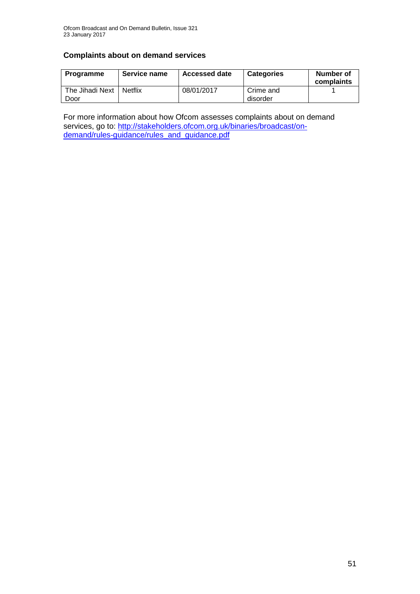### **Complaints about on demand services**

| Programme               | Service name   | <b>Accessed date</b> | <b>Categories</b>     | Number of<br>complaints |
|-------------------------|----------------|----------------------|-----------------------|-------------------------|
| The Jihadi Next<br>Door | <b>Netflix</b> | 08/01/2017           | Crime and<br>disorder |                         |

For more information about how Ofcom assesses complaints about on demand services, go to: [http://stakeholders.ofcom.org.uk/binaries/broadcast/on](http://stakeholders.ofcom.org.uk/binaries/broadcast/on-demand/rules-guidance/rules_and_guidance.pdf)[demand/rules-guidance/rules\\_and\\_guidance.pdf](http://stakeholders.ofcom.org.uk/binaries/broadcast/on-demand/rules-guidance/rules_and_guidance.pdf)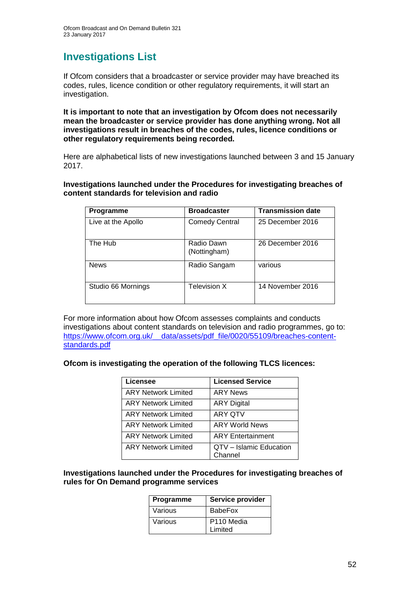### **Investigations List**

If Ofcom considers that a broadcaster or service provider may have breached its codes, rules, licence condition or other regulatory requirements, it will start an investigation.

**It is important to note that an investigation by Ofcom does not necessarily mean the broadcaster or service provider has done anything wrong. Not all investigations result in breaches of the codes, rules, licence conditions or other regulatory requirements being recorded.**

Here are alphabetical lists of new investigations launched between 3 and 15 January 2017.

**Investigations launched under the Procedures for investigating breaches of content standards for television and radio**

| Programme          | <b>Broadcaster</b>         | <b>Transmission date</b> |
|--------------------|----------------------------|--------------------------|
| Live at the Apollo | <b>Comedy Central</b>      | 25 December 2016         |
| The Hub            | Radio Dawn<br>(Nottingham) | 26 December 2016         |
| <b>News</b>        | Radio Sangam               | various                  |
| Studio 66 Mornings | Television X               | 14 November 2016         |

For more information about how Ofcom assesses complaints and conducts investigations about content standards on television and radio programmes, go to: https://www.ofcom.org.uk/ data/assets/pdf file/0020/55109/breaches-content[standards.pdf](https://www.ofcom.org.uk/__data/assets/pdf_file/0020/55109/breaches-content-standards.pdf)

#### **Ofcom is investigating the operation of the following TLCS licences:**

| <b>Licensee</b>            | <b>Licensed Service</b>            |
|----------------------------|------------------------------------|
| <b>ARY Network Limited</b> | <b>ARY News</b>                    |
| <b>ARY Network Limited</b> | <b>ARY Digital</b>                 |
| <b>ARY Network Limited</b> | <b>ARY QTV</b>                     |
| <b>ARY Network Limited</b> | <b>ARY World News</b>              |
| <b>ARY Network Limited</b> | <b>ARY Entertainment</b>           |
| <b>ARY Network Limited</b> | QTV - Islamic Education<br>Channel |

#### **Investigations launched under the Procedures for investigating breaches of rules for On Demand programme services**

| Programme | Service provider                  |
|-----------|-----------------------------------|
| Various   | <b>BabeFox</b>                    |
| Various   | P <sub>110</sub> Media<br>Limited |